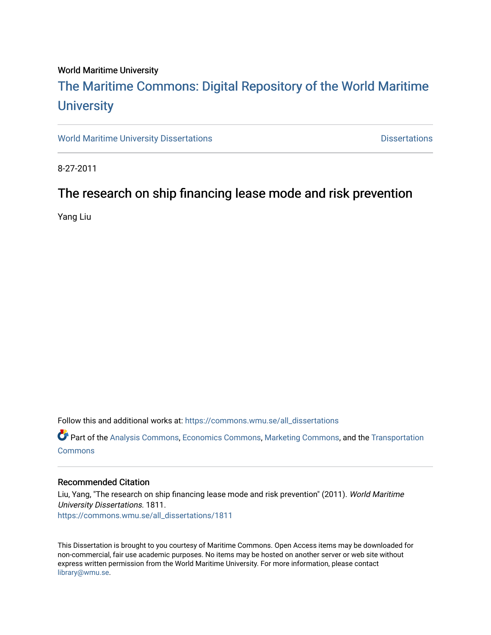### World Maritime University

# [The Maritime Commons: Digital Repository of the World Maritime](https://commons.wmu.se/)  **University**

[World Maritime University Dissertations](https://commons.wmu.se/all_dissertations) **Example 20 and Taracceretic Contracts** Dissertations

8-27-2011

# The research on ship financing lease mode and risk prevention

Yang Liu

Follow this and additional works at: [https://commons.wmu.se/all\\_dissertations](https://commons.wmu.se/all_dissertations?utm_source=commons.wmu.se%2Fall_dissertations%2F1811&utm_medium=PDF&utm_campaign=PDFCoverPages) 

Part of the [Analysis Commons](http://network.bepress.com/hgg/discipline/177?utm_source=commons.wmu.se%2Fall_dissertations%2F1811&utm_medium=PDF&utm_campaign=PDFCoverPages), [Economics Commons,](http://network.bepress.com/hgg/discipline/340?utm_source=commons.wmu.se%2Fall_dissertations%2F1811&utm_medium=PDF&utm_campaign=PDFCoverPages) [Marketing Commons](http://network.bepress.com/hgg/discipline/638?utm_source=commons.wmu.se%2Fall_dissertations%2F1811&utm_medium=PDF&utm_campaign=PDFCoverPages), and the [Transportation](http://network.bepress.com/hgg/discipline/1068?utm_source=commons.wmu.se%2Fall_dissertations%2F1811&utm_medium=PDF&utm_campaign=PDFCoverPages)  **[Commons](http://network.bepress.com/hgg/discipline/1068?utm_source=commons.wmu.se%2Fall_dissertations%2F1811&utm_medium=PDF&utm_campaign=PDFCoverPages)** 

### Recommended Citation

Liu, Yang, "The research on ship financing lease mode and risk prevention" (2011). World Maritime University Dissertations. 1811. [https://commons.wmu.se/all\\_dissertations/1811](https://commons.wmu.se/all_dissertations/1811?utm_source=commons.wmu.se%2Fall_dissertations%2F1811&utm_medium=PDF&utm_campaign=PDFCoverPages)

This Dissertation is brought to you courtesy of Maritime Commons. Open Access items may be downloaded for non-commercial, fair use academic purposes. No items may be hosted on another server or web site without express written permission from the World Maritime University. For more information, please contact [library@wmu.se](mailto:library@wmu.edu).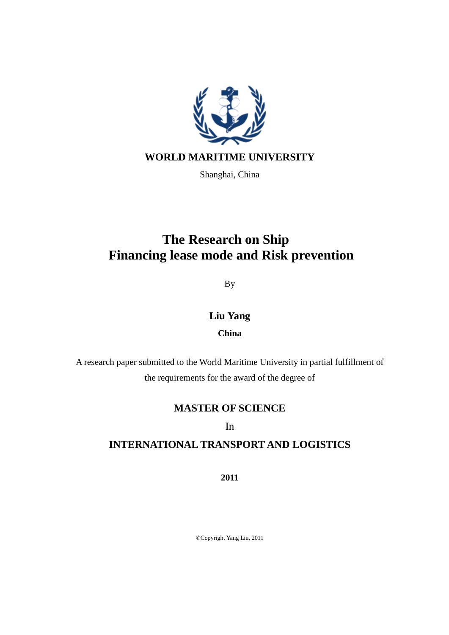

Shanghai, China

# **The Research on Ship Financing lease mode and Risk prevention**

By

**Liu Yang**

**China**

A research paper submitted to the World Maritime University in partial fulfillment of the requirements for the award of the degree of

# **MASTER OF SCIENCE**

In

# **INTERNATIONAL TRANSPORT AND LOGISTICS**

**2011**

©Copyright Yang Liu, 2011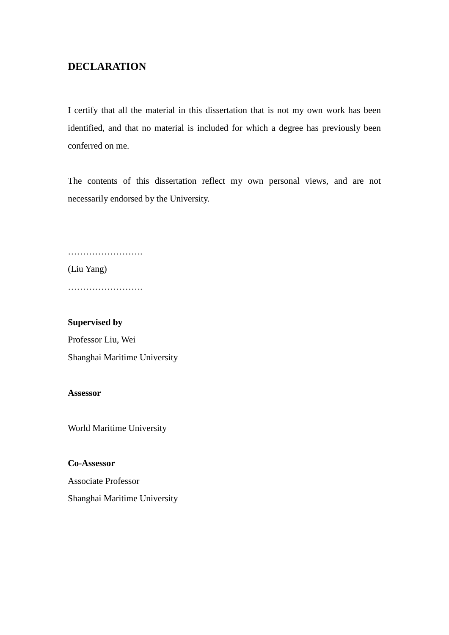# <span id="page-2-0"></span>**DECLARATION**

I certify that all the material in this dissertation that is not my own work has been identified, and that no material is included for which a degree has previously been conferred on me.

The contents of this dissertation reflect my own personal views, and are not necessarily endorsed by the University.

……………………………

(Liu Yang)

…………………….

## **Supervised by**

Professor Liu, Wei Shanghai Maritime University

## **Assessor**

World Maritime University

## **Co-Assessor**

Associate Professor Shanghai Maritime University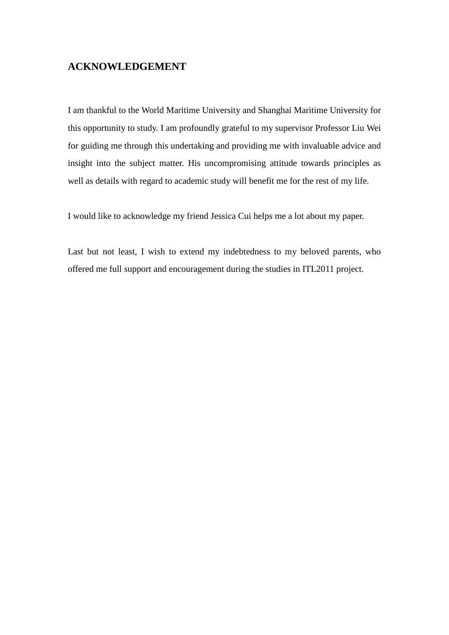# <span id="page-3-0"></span>**ACKNOWLEDGEMENT**

I am thankful to the World Maritime University and Shanghai Maritime University for this opportunity to study. I am profoundly grateful to my supervisor Professor Liu Wei for guiding me through this undertaking and providing me with invaluable advice and insight into the subject matter. His uncompromising attitude towards principles as well as details with regard to academic study will benefit me for the rest of my life.

I would like to acknowledge my friend Jessica Cui helps me a lot about my paper.

Last but not least, I wish to extend my indebtedness to my beloved parents, who offered me full support and encouragement during the studies in ITL2011 project.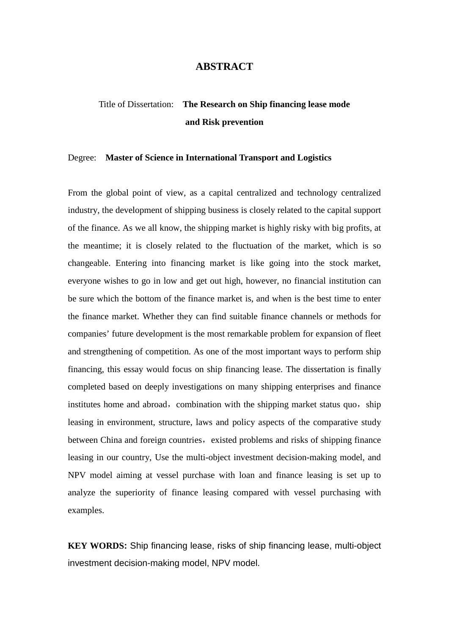# **ABSTRACT**

# <span id="page-4-0"></span>Title of Dissertation: **The Research on Ship financing lease mode and Risk prevention**

#### Degree: **Master of Science in International Transport and Logistics**

From the global point of view, as a capital centralized and technology centralized industry, the development of shipping business is closely related to the capital support of the finance. As we all know, the shipping market is highly risky with big profits, at the meantime; it is closely related to the fluctuation of the market, which is so changeable. Entering into financing market is like going into the stock market, everyone wishes to go in low and get out high, however, no financial institution can be sure which the bottom of the finance market is, and when is the best time to enter the finance market. Whether they can find suitable finance channels or methods for companies' future development is the most remarkable problem for expansion of fleet and strengthening of competition. As one of the most important ways to perform ship financing, this essay would focus on ship financing lease. The dissertation is finally completed based on deeply investigations on many shipping enterprises and finance institutes home and abroad, combination with the shipping market status quo, ship leasing in environment, structure, laws and policy aspects of the comparative study between China and foreign countries, existed problems and risks of shipping finance leasing in our country, Use the multi-object investment decision-making model, and NPV model aiming at vessel purchase with loan and finance leasing is set up to analyze the superiority of finance leasing compared with vessel purchasing with examples.

**KEY WORDS:** Ship financing lease, risks of ship financing lease, multi-object investment decision-making model, NPV model.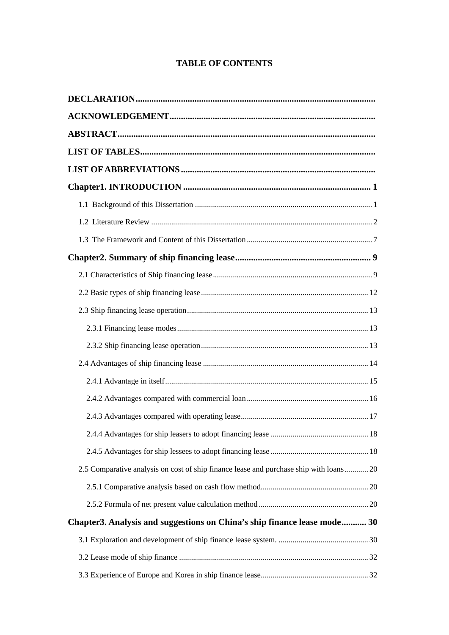# **TABLE OF CONTENTS**

| 2.5 Comparative analysis on cost of ship finance lease and purchase ship with loans 20 |
|----------------------------------------------------------------------------------------|
|                                                                                        |
|                                                                                        |
| Chapter3. Analysis and suggestions on China's ship finance lease mode 30               |
|                                                                                        |
|                                                                                        |
|                                                                                        |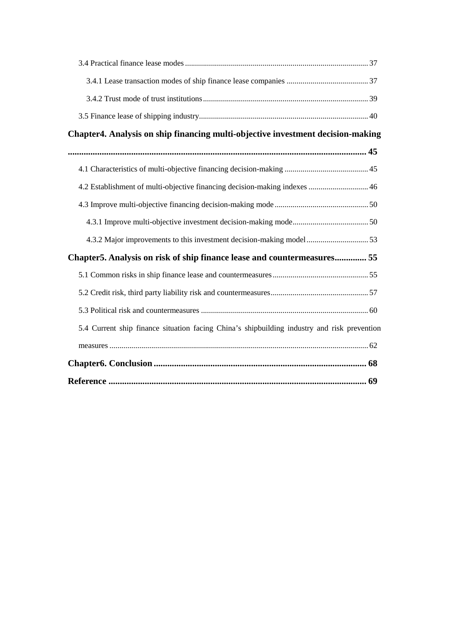<span id="page-6-0"></span>

| Chapter4. Analysis on ship financing multi-objective investment decision-making             |
|---------------------------------------------------------------------------------------------|
|                                                                                             |
|                                                                                             |
| 4.2 Establishment of multi-objective financing decision-making indexes  46                  |
|                                                                                             |
|                                                                                             |
|                                                                                             |
| Chapter5. Analysis on risk of ship finance lease and countermeasures 55                     |
|                                                                                             |
|                                                                                             |
|                                                                                             |
| 5.4 Current ship finance situation facing China's shipbuilding industry and risk prevention |
|                                                                                             |
|                                                                                             |
|                                                                                             |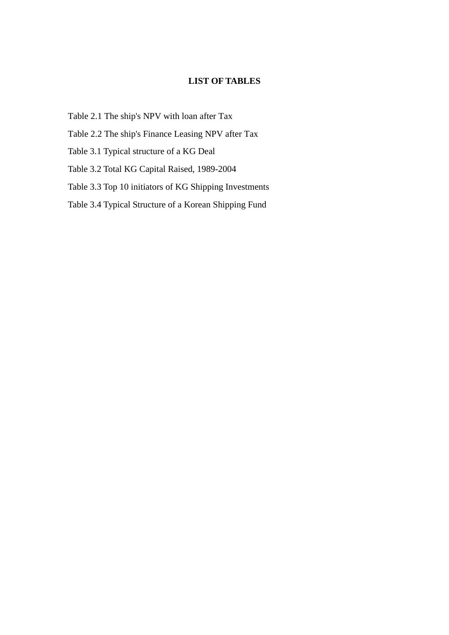# **LIST OF TABLES**

- Table 2.1 The ship's NPV with loan after Tax
- Table 2.2 The ship's Finance Leasing NPV after Tax
- Table 3.1 Typical structure of a KG Deal
- Table 3.2 Total KG Capital Raised, 1989-2004
- Table 3.3 Top 10 initiators of KG Shipping Investments
- Table 3.4 Typical Structure of a Korean Shipping Fund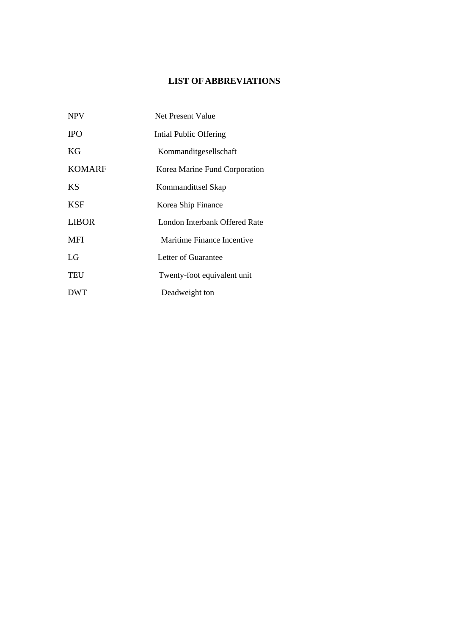# **LIST OF ABBREVIATIONS**

<span id="page-8-1"></span><span id="page-8-0"></span>

| <b>NPV</b>    | Net Present Value             |
|---------------|-------------------------------|
| <b>IPO</b>    | Intial Public Offering        |
| KG            | Kommanditgesellschaft         |
| <b>KOMARF</b> | Korea Marine Fund Corporation |
| <b>KS</b>     | Kommandittsel Skap            |
| KSF           | Korea Ship Finance            |
| <b>LIBOR</b>  | London Interbank Offered Rate |
| <b>MFI</b>    | Maritime Finance Incentive    |
| LG            | Letter of Guarantee           |
| <b>TEU</b>    | Twenty-foot equivalent unit   |
| <b>DWT</b>    | Deadweight ton                |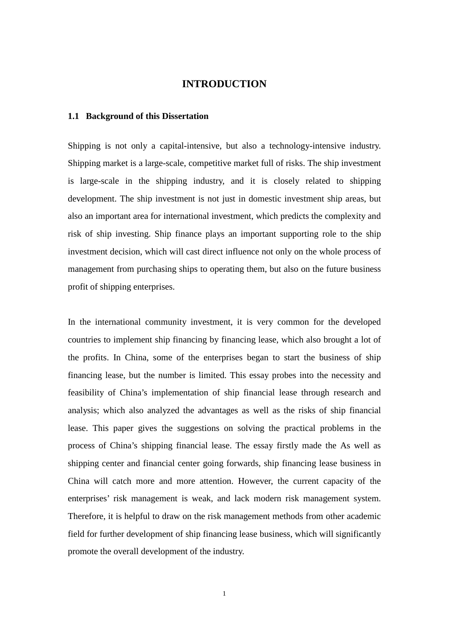### **INTRODUCTION**

#### <span id="page-9-0"></span>**1.1 Background of this Dissertation**

Shipping is not only a capital-intensive, but also a technology-intensive industry. Shipping market is a large-scale, competitive market full of risks. The ship investment is large-scale in the shipping industry, and it is closely related to shipping development. The ship investment is not just in domestic investment ship areas, but also an important area for international investment, which predicts the complexity and risk of ship investing. Ship finance plays an important supporting role to the ship investment decision, which will cast direct influence not only on the whole process of management from purchasing ships to operating them, but also on the future business profit of shipping enterprises.

In the international community investment, it is very common for the developed countries to implement ship financing by financing lease, which also brought a lot of the profits. In China, some of the enterprises began to start the business of ship financing lease, but the number is limited. This essay probes into the necessity and feasibility of China's implementation of ship financial lease through research and analysis; which also analyzed the advantages as well as the risks of ship financial lease. This paper gives the suggestions on solving the practical problems in the process of China's shipping financial lease. The essay firstly made the As well as shipping center and financial center going forwards, ship financing lease business in China will catch more and more attention. However, the current capacity of the enterprises' risk management is weak, and lack modern risk management system. Therefore, it is helpful to draw on the risk management methods from other academic field for further development of ship financing lease business, which will significantly promote the overall development of the industry.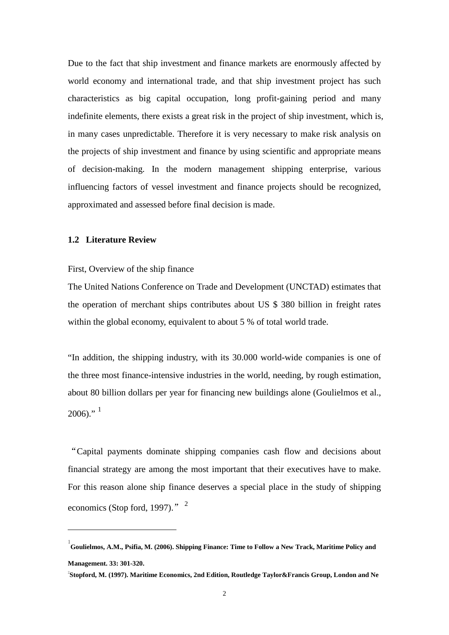Due to the fact that ship investment and finance markets are enormously affected by world economy and international trade, and that ship investment project has such characteristics as big capital occupation, long profit-gaining period and many indefinite elements, there exists a great risk in the project of ship investment, which is, in many cases unpredictable. Therefore it is very necessary to make risk analysis on the projects of ship investment and finance by using scientific and appropriate means of decision-making. In the modern management shipping enterprise, various influencing factors of vessel investment and finance projects should be recognized, approximated and assessed before final decision is made.

# <span id="page-10-0"></span>**1.2 Literature Review**

**.** 

#### First, Overview of the ship finance

The United Nations Conference on Trade and Development (UNCTAD) estimates that the operation of merchant ships contributes about US \$ 380 billion in freight rates within the global economy, equivalent to about 5 % of total world trade.

"In addition, the shipping industry, with its 30.000 world-wide companies is one of the three most finance-intensive industries in the world, needing, by rough estimation, about 80 billion dollars per year for financing new buildings alone (Goulielmos et al.,  $2006$ <sup>3</sup>

"Capital payments dominate shipping companies cash flow and decisions about financial strategy are among the most important that their executives have to make. For this reason alone ship finance deserves a special place in the study of shipping economics (Stop ford, 1997)."  $2$ 

<span id="page-10-1"></span><sup>1</sup> **Goulielmos, A.M., Psifia, M. (2006). Shipping Finance: Time to Follow a New Track, Maritime Policy and Management. 33: 301-320.**

<span id="page-10-2"></span><sup>2</sup> **Stopford, M. (1997). Maritime Economics, 2nd Edition, Routledge Taylor&Francis Group, London and Ne**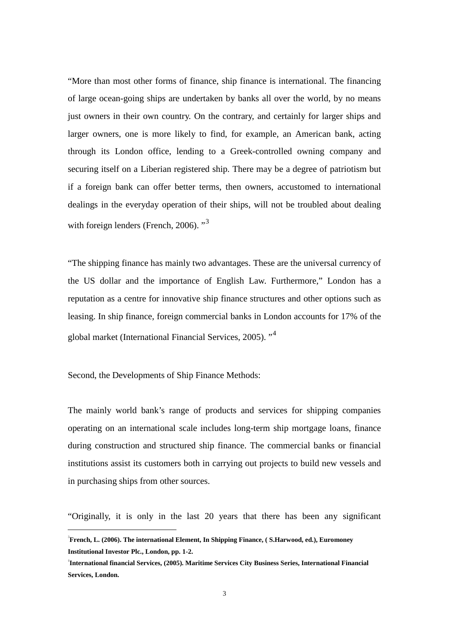"More than most other forms of finance, ship finance is international. The financing of large ocean-going ships are undertaken by banks all over the world, by no means just owners in their own country. On the contrary, and certainly for larger ships and larger owners, one is more likely to find, for example, an American bank, acting through its London office, lending to a Greek-controlled owning company and securing itself on a Liberian registered ship. There may be a degree of patriotism but if a foreign bank can offer better terms, then owners, accustomed to international dealings in the everyday operation of their ships, will not be troubled about dealing with foreign lenders (French, 2006).<sup>"[3](#page-11-0)</sup>

"The shipping finance has mainly two advantages. These are the universal currency of the US dollar and the importance of English Law. Furthermore," London has a reputation as a centre for innovative ship finance structures and other options such as leasing. In ship finance, foreign commercial banks in London accounts for 17% of the global market (International Financial Services, 2005). "[4](#page-11-0)

Second, the Developments of Ship Finance Methods:

**.** 

The mainly world bank's range of products and services for shipping companies operating on an international scale includes long-term ship mortgage loans, finance during construction and structured ship finance. The commercial banks or financial institutions assist its customers both in carrying out projects to build new vessels and in purchasing ships from other sources.

"Originally, it is only in the last 20 years that there has been any significant

<span id="page-11-0"></span><sup>3</sup> **French, L. (2006). The international Element, In Shipping Finance, ( S.Harwood, ed.), Euromoney Institutional Investor Plc., London, pp. 1-2.**

<sup>4</sup> **International financial Services, (2005). Maritime Services City Business Series, International Financial Services, London.**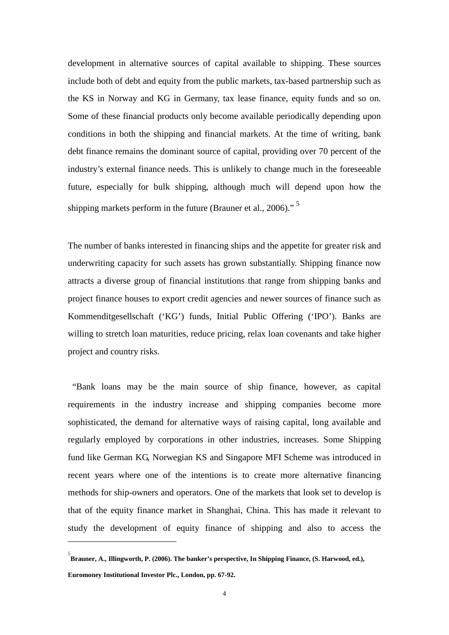development in alternative sources of capital available to shipping. These sources include both of debt and equity from the public markets, tax-based partnership such as the KS in Norway and KG in Germany, tax lease finance, equity funds and so on. Some of these financial products only become available periodically depending upon conditions in both the shipping and financial markets. At the time of writing, bank debt finance remains the dominant source of capital, providing over 70 percent of the industry's external finance needs. This is unlikely to change much in the foreseeable future, especially for bulk shipping, although much will depend upon how the shipping markets perform in the future (Brauner et al., 2006)." [5](#page-12-0)

The number of banks interested in financing ships and the appetite for greater risk and underwriting capacity for such assets has grown substantially. Shipping finance now attracts a diverse group of financial institutions that range from shipping banks and project finance houses to export credit agencies and newer sources of finance such as Kommenditgesellschaft ('KG') funds, Initial Public Offering ('IPO'). Banks are willing to stretch loan maturities, reduce pricing, relax loan covenants and take higher project and country risks.

"Bank loans may be the main source of ship finance, however, as capital requirements in the industry increase and shipping companies become more sophisticated, the demand for alternative ways of raising capital, long available and regularly employed by corporations in other industries, increases. Some Shipping fund like German KG, Norwegian KS and Singapore MFI Scheme was introduced in recent years where one of the intentions is to create more alternative financing methods for ship-owners and operators. One of the markets that look set to develop is that of the equity finance market in Shanghai, China. This has made it relevant to study the development of equity finance of shipping and also to access the

-

<span id="page-12-0"></span><sup>5</sup> **Brauner, A., Illingworth, P. (2006). The banker's perspective, In Shipping Finance, (S. Harwood, ed.), Euromoney Institutional Investor Plc., London, pp. 67-92.**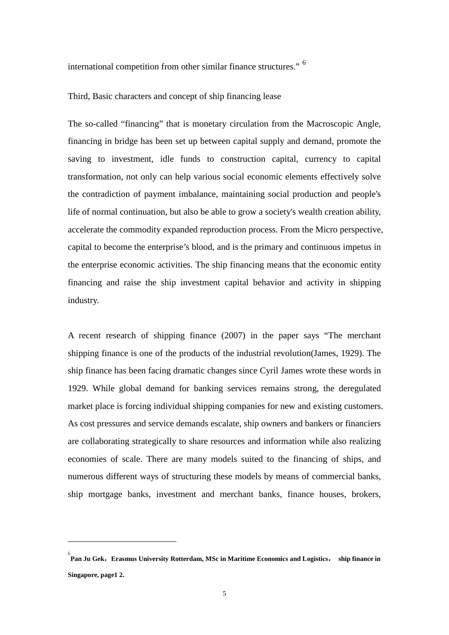international competition from other similar finance structures." [6](#page-13-0)

#### Third, Basic characters and concept of ship financing lease

The so-called "financing" that is monetary circulation from the Macroscopic Angle, financing in bridge has been set up between capital supply and demand, promote the saving to investment, idle funds to construction capital, currency to capital transformation, not only can help various social economic elements effectively solve the contradiction of payment imbalance, maintaining social production and people's life of normal continuation, but also be able to grow a society's wealth creation ability, accelerate the commodity expanded reproduction process. From the Micro perspective, capital to become the enterprise's blood, and is the primary and continuous impetus in the enterprise economic activities. The ship financing means that the economic entity financing and raise the ship investment capital behavior and activity in shipping industry.

A recent research of shipping finance (2007) in the paper says "The merchant shipping finance is one of the products of the industrial revolution(James, 1929). The ship finance has been facing dramatic changes since Cyril James wrote these words in 1929. While global demand for banking services remains strong, the deregulated market place is forcing individual shipping companies for new and existing customers. As cost pressures and service demands escalate, ship owners and bankers or financiers are collaborating strategically to share resources and information while also realizing economies of scale. There are many models suited to the financing of ships, and numerous different ways of structuring these models by means of commercial banks, ship mortgage banks, investment and merchant banks, finance houses, brokers,

-

<span id="page-13-0"></span><sup>6</sup> **Pan Ju Gek**,**Erasmus University Rotterdam, MSc in Maritime Economics and Logistics**, **ship finance in Singapore, page1 2.**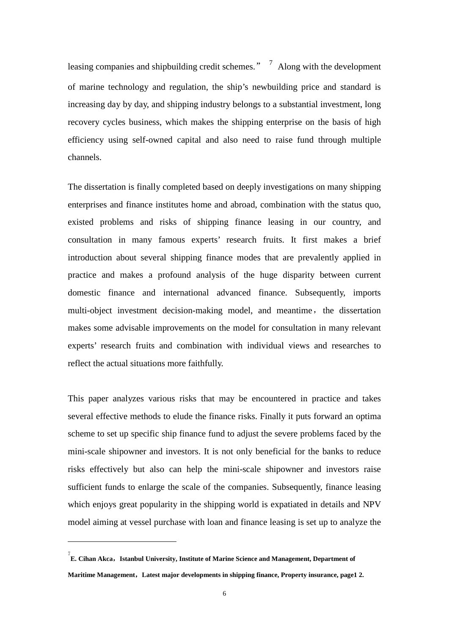leasing companies and shipbuilding credit schemes."  $\frac{7}{1}$  $\frac{7}{1}$  $\frac{7}{1}$  Along with the development of marine technology and regulation, the ship's newbuilding price and standard is increasing day by day, and shipping industry belongs to a substantial investment, long recovery cycles business, which makes the shipping enterprise on the basis of high efficiency using self-owned capital and also need to raise fund through multiple channels.

The dissertation is finally completed based on deeply investigations on many shipping enterprises and finance institutes home and abroad, combination with the status quo, existed problems and risks of shipping finance leasing in our country, and consultation in many famous experts' research fruits. It first makes a brief introduction about several shipping finance modes that are prevalently applied in practice and makes a profound analysis of the huge disparity between current domestic finance and international advanced finance. Subsequently, imports multi-object investment decision-making model, and meantime, the dissertation makes some advisable improvements on the model for consultation in many relevant experts' research fruits and combination with individual views and researches to reflect the actual situations more faithfully.

This paper analyzes various risks that may be encountered in practice and takes several effective methods to elude the finance risks. Finally it puts forward an optima scheme to set up specific ship finance fund to adjust the severe problems faced by the mini-scale shipowner and investors. It is not only beneficial for the banks to reduce risks effectively but also can help the mini-scale shipowner and investors raise sufficient funds to enlarge the scale of the companies. Subsequently, finance leasing which enjoys great popularity in the shipping world is expatiated in details and NPV model aiming at vessel purchase with loan and finance leasing is set up to analyze the

-

<span id="page-14-0"></span><sup>&</sup>lt;sup>7</sup> E. Cihan Akca,Istanbul University, Institute of Marine Science and Management, Department of **Maritime Management**,**Latest major developments in shipping finance, Property insurance, page1 2.**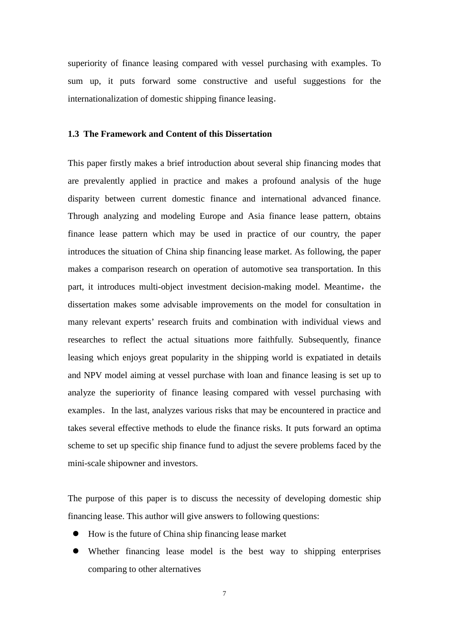superiority of finance leasing compared with vessel purchasing with examples. To sum up, it puts forward some constructive and useful suggestions for the internationalization of domestic shipping finance leasing.

#### <span id="page-15-0"></span>**1.3 The Framework and Content of this Dissertation**

This paper firstly makes a brief introduction about several ship financing modes that are prevalently applied in practice and makes a profound analysis of the huge disparity between current domestic finance and international advanced finance. Through analyzing and modeling Europe and Asia finance lease pattern, obtains finance lease pattern which may be used in practice of our country, the paper introduces the situation of China ship financing lease market. As following, the paper makes a comparison research on operation of automotive sea transportation. In this part, it introduces multi-object investment decision-making model. Meantime, the dissertation makes some advisable improvements on the model for consultation in many relevant experts' research fruits and combination with individual views and researches to reflect the actual situations more faithfully. Subsequently, finance leasing which enjoys great popularity in the shipping world is expatiated in details and NPV model aiming at vessel purchase with loan and finance leasing is set up to analyze the superiority of finance leasing compared with vessel purchasing with examples. In the last, analyzes various risks that may be encountered in practice and takes several effective methods to elude the finance risks. It puts forward an optima scheme to set up specific ship finance fund to adjust the severe problems faced by the mini-scale shipowner and investors.

The purpose of this paper is to discuss the necessity of developing domestic ship financing lease. This author will give answers to following questions:

- How is the future of China ship financing lease market
- Whether financing lease model is the best way to shipping enterprises comparing to other alternatives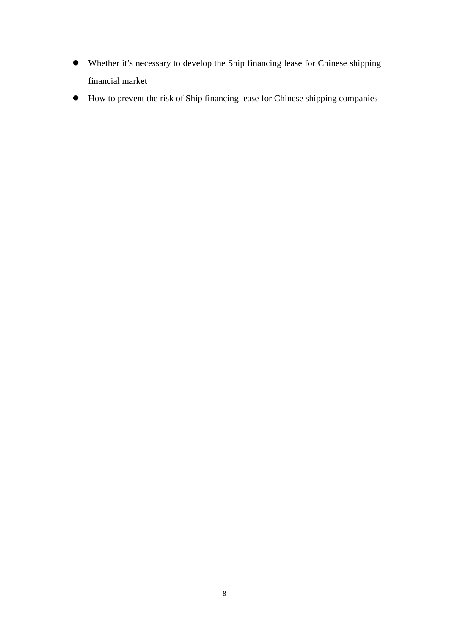- Whether it's necessary to develop the Ship financing lease for Chinese shipping financial market
- <span id="page-16-0"></span>How to prevent the risk of Ship financing lease for Chinese shipping companies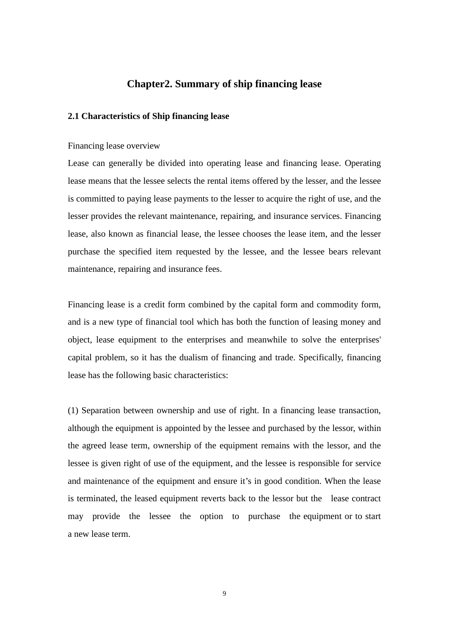# **Chapter2. Summary of ship financing lease**

#### <span id="page-17-0"></span>**2.1 Characteristics of Ship financing lease**

#### Financing lease overview

Lease can generally be divided into operating lease and financing lease. Operating lease means that the lessee selects the rental items offered by the lesser, and the lessee is committed to paying lease payments to the lesser to acquire the right of use, and the lesser provides the relevant maintenance, repairing, and insurance services. Financing lease, also known as financial lease, the lessee chooses the lease item, and the lesser purchase the specified item requested by the lessee, and the lessee bears relevant maintenance, repairing and insurance fees.

Financing lease is a credit form combined by the capital form and commodity form, and is a new type of financial tool which has both the function of leasing money and object, lease equipment to the enterprises and meanwhile to solve the enterprises' capital problem, so it has the dualism of financing and trade. Specifically, financing lease has the following basic characteristics:

(1) Separation between ownership and use of right. In a financing lease transaction, although the equipment is appointed by the lessee and purchased by the lessor, within the agreed lease term, ownership of the equipment remains with the lessor, and the lessee is given right of use of the equipment, and the lessee is responsible for service and maintenance of the equipment and ensure it's in good condition. When the lease is terminated, the leased equipment reverts back to the lessor but the lease contract may provide the lessee the option to purchase the equipment or to start a new lease term.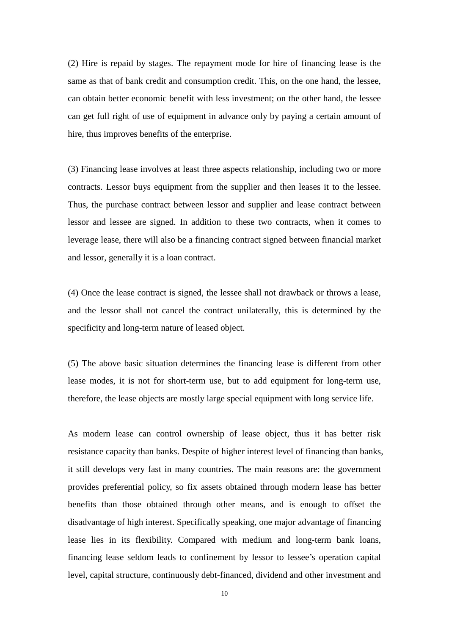(2) Hire is repaid by stages. The repayment mode for hire of financing lease is the same as that of bank credit and consumption credit. This, on the one hand, the lessee, can obtain better economic benefit with less investment; on the other hand, the lessee can get full right of use of equipment in advance only by paying a certain amount of hire, thus improves benefits of the enterprise.

(3) Financing lease involves at least three aspects relationship, including two or more contracts. Lessor buys equipment from the supplier and then leases it to the lessee. Thus, the purchase contract between lessor and supplier and lease contract between lessor and lessee are signed. In addition to these two contracts, when it comes to leverage lease, there will also be a financing contract signed between financial market and lessor, generally it is a loan contract.

(4) Once the lease contract is signed, the lessee shall not drawback or throws a lease, and the lessor shall not cancel the contract unilaterally, this is determined by the specificity and long-term nature of leased object.

(5) The above basic situation determines the financing lease is different from other lease modes, it is not for short-term use, but to add equipment for long-term use, therefore, the lease objects are mostly large special equipment with long service life.

As modern lease can control ownership of lease object, thus it has better risk resistance capacity than banks. Despite of higher interest level of financing than banks, it still develops very fast in many countries. The main reasons are: the government provides preferential policy, so fix assets obtained through modern lease has better benefits than those obtained through other means, and is enough to offset the disadvantage of high interest. Specifically speaking, one major advantage of financing lease lies in its flexibility. Compared with medium and long-term bank loans, financing lease seldom leads to confinement by lessor to lessee's operation capital level, capital structure, continuously debt-financed, dividend and other investment and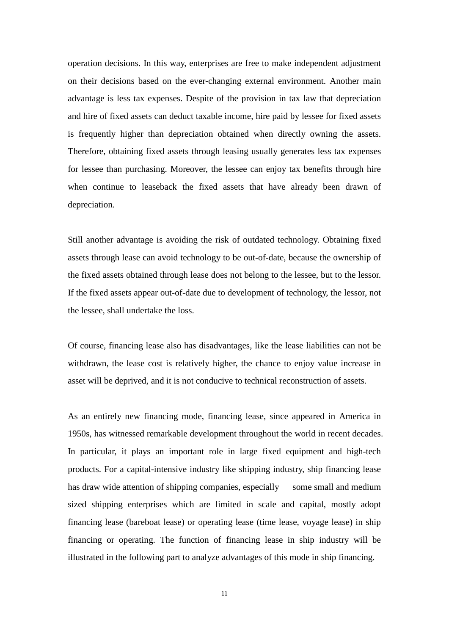operation decisions. In this way, enterprises are free to make independent adjustment on their decisions based on the ever-changing external environment. Another main advantage is less tax expenses. Despite of the provision in tax law that depreciation and hire of fixed assets can deduct taxable income, hire paid by lessee for fixed assets is frequently higher than depreciation obtained when directly owning the assets. Therefore, obtaining fixed assets through leasing usually generates less tax expenses for lessee than purchasing. Moreover, the lessee can enjoy tax benefits through hire when continue to leaseback the fixed assets that have already been drawn of depreciation.

Still another advantage is avoiding the risk of outdated technology. Obtaining fixed assets through lease can avoid technology to be out-of-date, because the ownership of the fixed assets obtained through lease does not belong to the lessee, but to the lessor. If the fixed assets appear out-of-date due to development of technology, the lessor, not the lessee, shall undertake the loss.

Of course, financing lease also has disadvantages, like the lease liabilities can not be withdrawn, the lease cost is relatively higher, the chance to enjoy value increase in asset will be deprived, and it is not conducive to technical reconstruction of assets.

As an entirely new financing mode, financing lease, since appeared in America in 1950s, has witnessed remarkable development throughout the world in recent decades. In particular, it plays an important role in large fixed equipment and high-tech products. For a capital-intensive industry like shipping industry, ship financing lease has draw wide attention of shipping companies, especially some small and medium sized shipping enterprises which are limited in scale and capital, mostly adopt financing lease (bareboat lease) or operating lease (time lease, voyage lease) in ship financing or operating. The function of financing lease in ship industry will be illustrated in the following part to analyze advantages of this mode in ship financing.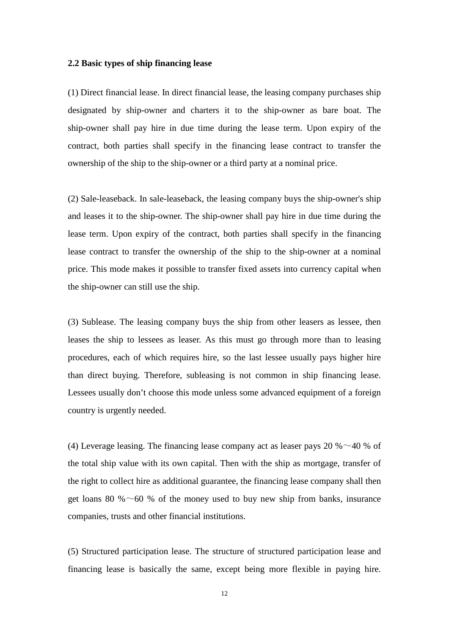#### <span id="page-20-0"></span>**2.2 Basic types of ship financing lease**

(1) Direct financial lease. In direct financial lease, the leasing company purchases ship designated by ship-owner and charters it to the ship-owner as bare boat. The ship-owner shall pay hire in due time during the lease term. Upon expiry of the contract, both parties shall specify in the financing lease contract to transfer the ownership of the ship to the ship-owner or a third party at a nominal price.

(2) Sale-leaseback. In sale-leaseback, the leasing company buys the ship-owner's ship and leases it to the ship-owner. The ship-owner shall pay hire in due time during the lease term. Upon expiry of the contract, both parties shall specify in the financing lease contract to transfer the ownership of the ship to the ship-owner at a nominal price. This mode makes it possible to transfer fixed assets into currency capital when the ship-owner can still use the ship.

(3) Sublease. The leasing company buys the ship from other leasers as lessee, then leases the ship to lessees as leaser. As this must go through more than to leasing procedures, each of which requires hire, so the last lessee usually pays higher hire than direct buying. Therefore, subleasing is not common in ship financing lease. Lessees usually don't choose this mode unless some advanced equipment of a foreign country is urgently needed.

(4) Leverage leasing. The financing lease company act as leaser pays 20  $% \sim 40 \%$  of the total ship value with its own capital. Then with the ship as mortgage, transfer of the right to collect hire as additional guarantee, the financing lease company shall then get loans 80 % $\sim$  60 % of the money used to buy new ship from banks, insurance companies, trusts and other financial institutions.

(5) Structured participation lease. The structure of structured participation lease and financing lease is basically the same, except being more flexible in paying hire.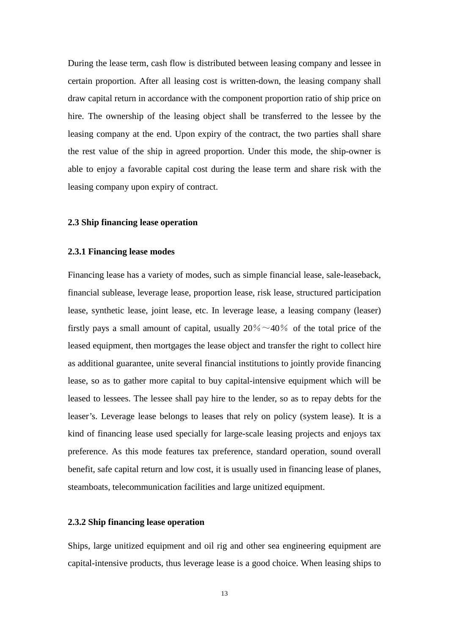During the lease term, cash flow is distributed between leasing company and lessee in certain proportion. After all leasing cost is written-down, the leasing company shall draw capital return in accordance with the component proportion ratio of ship price on hire. The ownership of the leasing object shall be transferred to the lessee by the leasing company at the end. Upon expiry of the contract, the two parties shall share the rest value of the ship in agreed proportion. Under this mode, the ship-owner is able to enjoy a favorable capital cost during the lease term and share risk with the leasing company upon expiry of contract.

#### <span id="page-21-0"></span>**2.3 Ship financing lease operation**

#### <span id="page-21-1"></span>**2.3.1 Financing lease modes**

Financing lease has a variety of modes, such as simple financial lease, sale-leaseback, financial sublease, leverage lease, proportion lease, risk lease, structured participation lease, synthetic lease, joint lease, etc. In leverage lease, a leasing company (leaser) firstly pays a small amount of capital, usually  $20\% \sim 40\%$  of the total price of the leased equipment, then mortgages the lease object and transfer the right to collect hire as additional guarantee, unite several financial institutions to jointly provide financing lease, so as to gather more capital to buy capital-intensive equipment which will be leased to lessees. The lessee shall pay hire to the lender, so as to repay debts for the leaser's. Leverage lease belongs to leases that rely on policy (system lease). It is a kind of financing lease used specially for large-scale leasing projects and enjoys tax preference. As this mode features tax preference, standard operation, sound overall benefit, safe capital return and low cost, it is usually used in financing lease of planes, steamboats, telecommunication facilities and large unitized equipment.

#### <span id="page-21-2"></span>**2.3.2 Ship financing lease operation**

Ships, large unitized equipment and oil rig and other sea engineering equipment are capital-intensive products, thus leverage lease is a good choice. When leasing ships to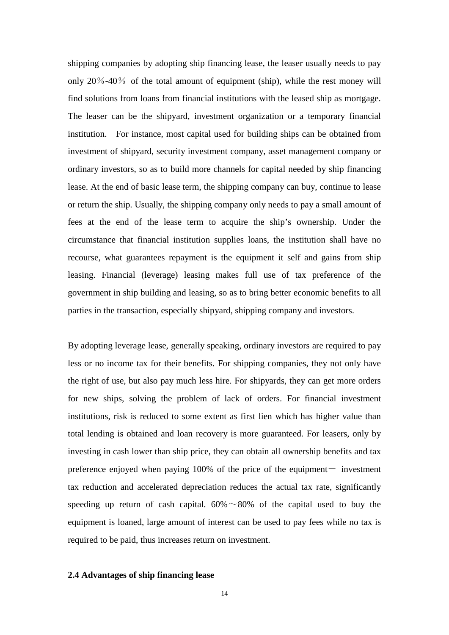shipping companies by adopting ship financing lease, the leaser usually needs to pay only 20%-40% of the total amount of equipment (ship), while the rest money will find solutions from loans from financial institutions with the leased ship as mortgage. The leaser can be the shipyard, investment organization or a temporary financial institution. For instance, most capital used for building ships can be obtained from investment of shipyard, security investment company, asset management company or ordinary investors, so as to build more channels for capital needed by ship financing lease. At the end of basic lease term, the shipping company can buy, continue to lease or return the ship. Usually, the shipping company only needs to pay a small amount of fees at the end of the lease term to acquire the ship's ownership. Under the circumstance that financial institution supplies loans, the institution shall have no recourse, what guarantees repayment is the equipment it self and gains from ship leasing. Financial (leverage) leasing makes full use of tax preference of the government in ship building and leasing, so as to bring better economic benefits to all parties in the transaction, especially shipyard, shipping company and investors.

By adopting leverage lease, generally speaking, ordinary investors are required to pay less or no income tax for their benefits. For shipping companies, they not only have the right of use, but also pay much less hire. For shipyards, they can get more orders for new ships, solving the problem of lack of orders. For financial investment institutions, risk is reduced to some extent as first lien which has higher value than total lending is obtained and loan recovery is more guaranteed. For leasers, only by investing in cash lower than ship price, they can obtain all ownership benefits and tax preference enjoyed when paying  $100\%$  of the price of the equipment- investment tax reduction and accelerated depreciation reduces the actual tax rate, significantly speeding up return of cash capital.  $60\% \sim 80\%$  of the capital used to buy the equipment is loaned, large amount of interest can be used to pay fees while no tax is required to be paid, thus increases return on investment.

#### <span id="page-22-0"></span>**2.4 Advantages of ship financing lease**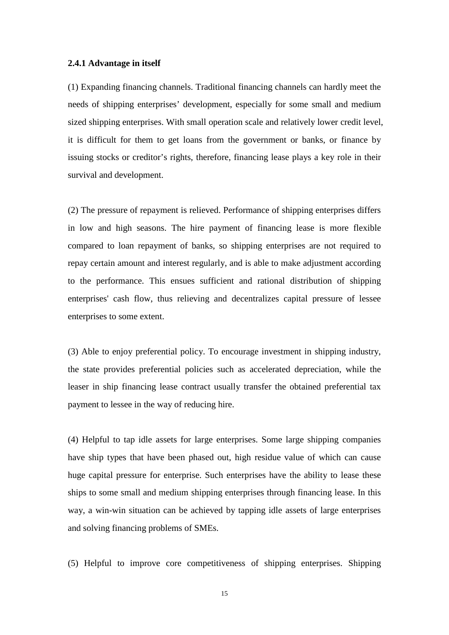#### <span id="page-23-0"></span>**2.4.1 Advantage in itself**

(1) Expanding financing channels. Traditional financing channels can hardly meet the needs of shipping enterprises' development, especially for some small and medium sized shipping enterprises. With small operation scale and relatively lower credit level, it is difficult for them to get loans from the government or banks, or finance by issuing stocks or creditor's rights, therefore, financing lease plays a key role in their survival and development.

(2) The pressure of repayment is relieved. Performance of shipping enterprises differs in low and high seasons. The hire payment of financing lease is more flexible compared to loan repayment of banks, so shipping enterprises are not required to repay certain amount and interest regularly, and is able to make adjustment according to the performance. This ensues sufficient and rational distribution of shipping enterprises' cash flow, thus relieving and decentralizes capital pressure of lessee enterprises to some extent.

(3) Able to enjoy preferential policy. To encourage investment in shipping industry, the state provides preferential policies such as accelerated depreciation, while the leaser in ship financing lease contract usually transfer the obtained preferential tax payment to lessee in the way of reducing hire.

(4) Helpful to tap idle assets for large enterprises. Some large shipping companies have ship types that have been phased out, high residue value of which can cause huge capital pressure for enterprise. Such enterprises have the ability to lease these ships to some small and medium shipping enterprises through financing lease. In this way, a win-win situation can be achieved by tapping idle assets of large enterprises and solving financing problems of SMEs.

(5) Helpful to improve core competitiveness of shipping enterprises. Shipping

15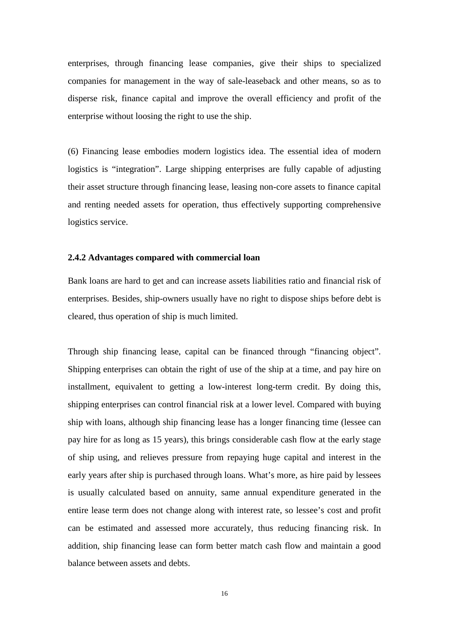enterprises, through financing lease companies, give their ships to specialized companies for management in the way of sale-leaseback and other means, so as to disperse risk, finance capital and improve the overall efficiency and profit of the enterprise without loosing the right to use the ship.

(6) Financing lease embodies modern logistics idea. The essential idea of modern logistics is "integration". Large shipping enterprises are fully capable of adjusting their asset structure through financing lease, leasing non-core assets to finance capital and renting needed assets for operation, thus effectively supporting comprehensive logistics service.

#### <span id="page-24-0"></span>**2.4.2 Advantages compared with commercial loan**

Bank loans are hard to get and can increase assets liabilities ratio and financial risk of enterprises. Besides, ship-owners usually have no right to dispose ships before debt is cleared, thus operation of ship is much limited.

Through ship financing lease, capital can be financed through "financing object". Shipping enterprises can obtain the right of use of the ship at a time, and pay hire on installment, equivalent to getting a low-interest long-term credit. By doing this, shipping enterprises can control financial risk at a lower level. Compared with buying ship with loans, although ship financing lease has a longer financing time (lessee can pay hire for as long as 15 years), this brings considerable cash flow at the early stage of ship using, and relieves pressure from repaying huge capital and interest in the early years after ship is purchased through loans. What's more, as hire paid by lessees is usually calculated based on annuity, same annual expenditure generated in the entire lease term does not change along with interest rate, so lessee's cost and profit can be estimated and assessed more accurately, thus reducing financing risk. In addition, ship financing lease can form better match cash flow and maintain a good balance between assets and debts.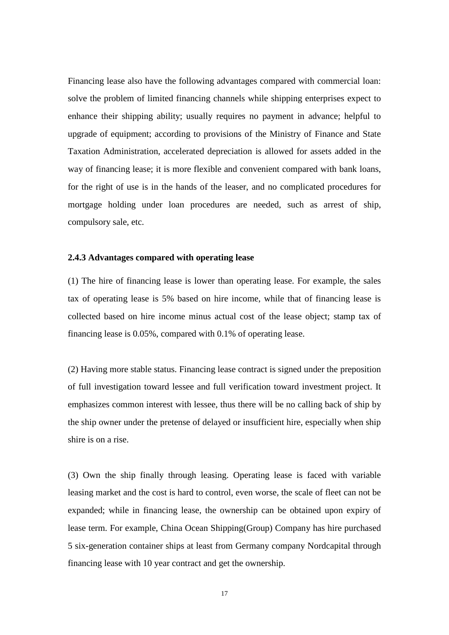Financing lease also have the following advantages compared with commercial loan: solve the problem of limited financing channels while shipping enterprises expect to enhance their shipping ability; usually requires no payment in advance; helpful to upgrade of equipment; according to provisions of the Ministry of Finance and State Taxation Administration, accelerated depreciation is allowed for assets added in the way of financing lease; it is more flexible and convenient compared with bank loans, for the right of use is in the hands of the leaser, and no complicated procedures for mortgage holding under loan procedures are needed, such as arrest of ship, compulsory sale, etc.

#### <span id="page-25-0"></span>**2.4.3 Advantages compared with operating lease**

(1) The hire of financing lease is lower than operating lease. For example, the sales tax of operating lease is 5% based on hire income, while that of financing lease is collected based on hire income minus actual cost of the lease object; stamp tax of financing lease is 0.05%, compared with 0.1% of operating lease.

(2) Having more stable status. Financing lease contract is signed under the preposition of full investigation toward lessee and full verification toward investment project. It emphasizes common interest with lessee, thus there will be no calling back of ship by the ship owner under the pretense of delayed or insufficient hire, especially when ship shire is on a rise.

(3) Own the ship finally through leasing. Operating lease is faced with variable leasing market and the cost is hard to control, even worse, the scale of fleet can not be expanded; while in financing lease, the ownership can be obtained upon expiry of lease term. For example, China Ocean Shipping(Group) Company has hire purchased 5 six-generation container ships at least from Germany company Nordcapital through financing lease with 10 year contract and get the ownership.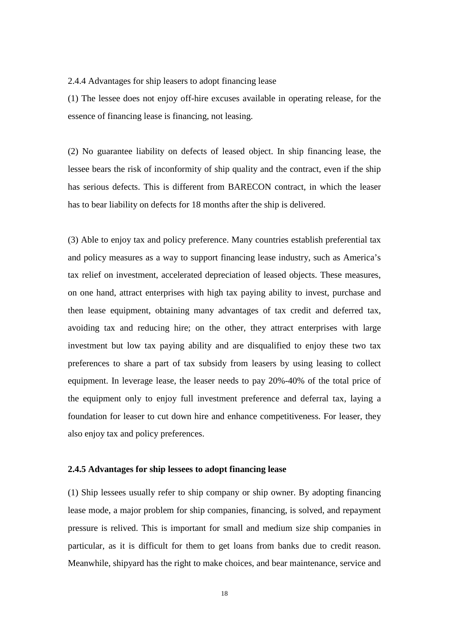<span id="page-26-0"></span>2.4.4 Advantages for ship leasers to adopt financing lease

(1) The lessee does not enjoy off-hire excuses available in operating release, for the essence of financing lease is financing, not leasing.

(2) No guarantee liability on defects of leased object. In ship financing lease, the lessee bears the risk of inconformity of ship quality and the contract, even if the ship has serious defects. This is different from BARECON contract, in which the leaser has to bear liability on defects for 18 months after the ship is delivered.

(3) Able to enjoy tax and policy preference. Many countries establish preferential tax and policy measures as a way to support financing lease industry, such as America's tax relief on investment, accelerated depreciation of leased objects. These measures, on one hand, attract enterprises with high tax paying ability to invest, purchase and then lease equipment, obtaining many advantages of tax credit and deferred tax, avoiding tax and reducing hire; on the other, they attract enterprises with large investment but low tax paying ability and are disqualified to enjoy these two tax preferences to share a part of tax subsidy from leasers by using leasing to collect equipment. In leverage lease, the leaser needs to pay 20%-40% of the total price of the equipment only to enjoy full investment preference and deferral tax, laying a foundation for leaser to cut down hire and enhance competitiveness. For leaser, they also enjoy tax and policy preferences.

### <span id="page-26-1"></span>**2.4.5 Advantages for ship lessees to adopt financing lease**

(1) Ship lessees usually refer to ship company or ship owner. By adopting financing lease mode, a major problem for ship companies, financing, is solved, and repayment pressure is relived. This is important for small and medium size ship companies in particular, as it is difficult for them to get loans from banks due to credit reason. Meanwhile, shipyard has the right to make choices, and bear maintenance, service and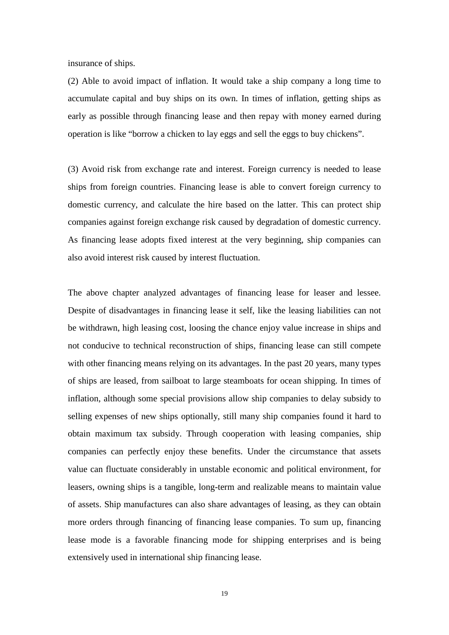insurance of ships.

(2) Able to avoid impact of inflation. It would take a ship company a long time to accumulate capital and buy ships on its own. In times of inflation, getting ships as early as possible through financing lease and then repay with money earned during operation is like "borrow a chicken to lay eggs and sell the eggs to buy chickens".

(3) Avoid risk from exchange rate and interest. Foreign currency is needed to lease ships from foreign countries. Financing lease is able to convert foreign currency to domestic currency, and calculate the hire based on the latter. This can protect ship companies against foreign exchange risk caused by degradation of domestic currency. As financing lease adopts fixed interest at the very beginning, ship companies can also avoid interest risk caused by interest fluctuation.

<span id="page-27-0"></span>The above chapter analyzed advantages of financing lease for leaser and lessee. Despite of disadvantages in financing lease it self, like the leasing liabilities can not be withdrawn, high leasing cost, loosing the chance enjoy value increase in ships and not conducive to technical reconstruction of ships, financing lease can still compete with other financing means relying on its advantages. In the past 20 years, many types of ships are leased, from sailboat to large steamboats for ocean shipping. In times of inflation, although some special provisions allow ship companies to delay subsidy to selling expenses of new ships optionally, still many ship companies found it hard to obtain maximum tax subsidy. Through cooperation with leasing companies, ship companies can perfectly enjoy these benefits. Under the circumstance that assets value can fluctuate considerably in unstable economic and political environment, for leasers, owning ships is a tangible, long-term and realizable means to maintain value of assets. Ship manufactures can also share advantages of leasing, as they can obtain more orders through financing of financing lease companies. To sum up, financing lease mode is a favorable financing mode for shipping enterprises and is being extensively used in international ship financing lease.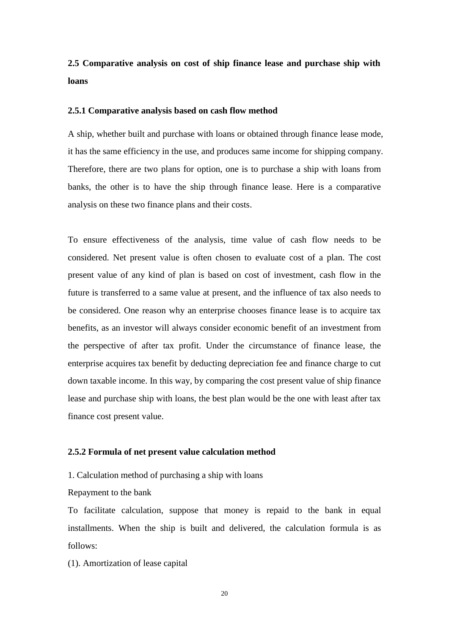**2.5 Comparative analysis on cost of ship finance lease and purchase ship with loans** 

#### <span id="page-28-0"></span>**2.5.1 Comparative analysis based on cash flow method**

A ship, whether built and purchase with loans or obtained through finance lease mode, it has the same efficiency in the use, and produces same income for shipping company. Therefore, there are two plans for option, one is to purchase a ship with loans from banks, the other is to have the ship through finance lease. Here is a comparative analysis on these two finance plans and their costs.

To ensure effectiveness of the analysis, time value of cash flow needs to be considered. Net present value is often chosen to evaluate cost of a plan. The cost present value of any kind of plan is based on cost of investment, cash flow in the future is transferred to a same value at present, and the influence of tax also needs to be considered. One reason why an enterprise chooses finance lease is to acquire tax benefits, as an investor will always consider economic benefit of an investment from the perspective of after tax profit. Under the circumstance of finance lease, the enterprise acquires tax benefit by deducting depreciation fee and finance charge to cut down taxable income. In this way, by comparing the cost present value of ship finance lease and purchase ship with loans, the best plan would be the one with least after tax finance cost present value.

#### <span id="page-28-1"></span>**2.5.2 Formula of net present value calculation method**

1. Calculation method of purchasing a ship with loans

Repayment to the bank

To facilitate calculation, suppose that money is repaid to the bank in equal installments. When the ship is built and delivered, the calculation formula is as follows:

(1). Amortization of lease capital

20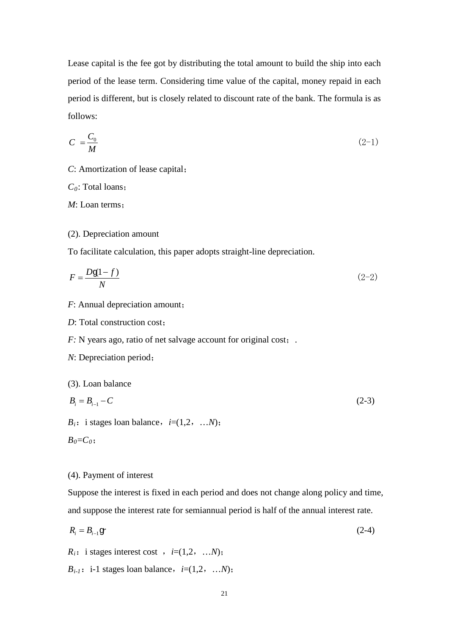Lease capital is the fee got by distributing the total amount to build the ship into each period of the lease term. Considering time value of the capital, money repaid in each period is different, but is closely related to discount rate of the bank. The formula is as follows:

$$
C = \frac{C_0}{M} \tag{2-1}
$$

*C*: Amortization of lease capital;

*C0*: Total loans;

*M*: Loan terms;

#### (2). Depreciation amount

To facilitate calculation, this paper adopts straight-line depreciation.

$$
F = \frac{Dg(1-f)}{N} \tag{2-2}
$$

- *F*: Annual depreciation amount;
- *D*: Total construction cost:

*F*: N years ago, ratio of net salvage account for original cost;.

*N*: Depreciation period;

(3). Loan balance

$$
B_i = B_{i-1} - C \tag{2-3}
$$

 $B_i$ : i stages loan balance,  $i=(1,2, \ldots, N)$ ;

$$
{\scriptstyle B_0 = C_0};
$$

### (4). Payment of interest

Suppose the interest is fixed in each period and does not change along policy and time, and suppose the interest rate for semiannual period is half of the annual interest rate.

$$
R_i = B_{i-1} \mathbf{g} \tag{2-4}
$$

 $R_i$ : i stages interest cost ,  $i=(1,2, \ldots, N)$ ;

 $B_{i-1}$ : i-1 stages loan balance,  $i=(1,2, \ldots, N)$ ;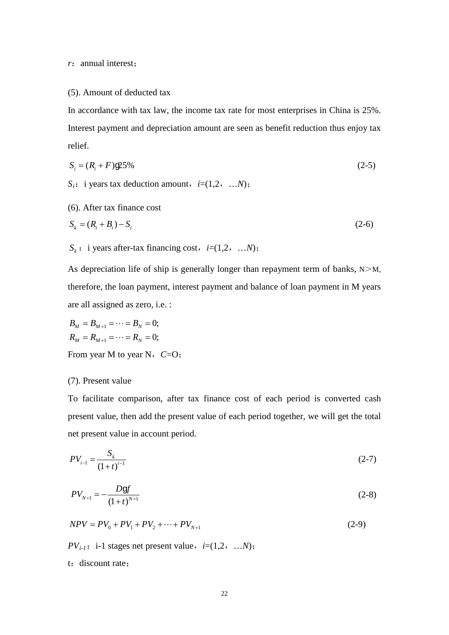*r*:annual interest;

#### (5). Amount of deducted tax

In accordance with tax law, the income tax rate for most enterprises in China is 25%. Interest payment and depreciation amount are seen as benefit reduction thus enjoy tax relief.

$$
S_i = (R_i + F) \mathcal{Q} 5\% \tag{2-5}
$$

 $S_i$ : i years tax deduction amount,  $i=(1,2, \ldots, N)$ ;

(6). After tax finance cost

$$
S_k = (R_i + B_i) - S_i \tag{2-6}
$$

$$
S_k
$$
: i years after-tax financing cost,  $i=(1,2, \ldots, N)$ ;

As depreciation life of ship is generally longer than repayment term of banks,  $N>M$ , therefore, the loan payment, interest payment and balance of loan payment in M years are all assigned as zero, i.e. :

$$
B_M = B_{M+1} = \dots = B_N = 0;
$$
  
\n
$$
R_M = R_{M+1} = \dots = R_N = 0;
$$
  
\nFrom year M to year N,  $C=O$ ;

#### (7). Present value

To facilitate comparison, after tax finance cost of each period is converted cash present value, then add the present value of each period together, we will get the total net present value in account period.

$$
PV_{i-1} = \frac{S_k}{(1+t)^{i-1}}\tag{2-7}
$$

$$
PV_{N+1} = -\frac{Dgf}{(1+t)^{N+1}}\tag{2-8}
$$

$$
NPV = PV_0 + PV_1 + PV_2 + \dots + PV_{N+1}
$$
\n(2-9)

*PV*<sub>*i*-1</sub>: *i*-1 stages net present value, *i*=(1,2, …*N*);

t: discount rate;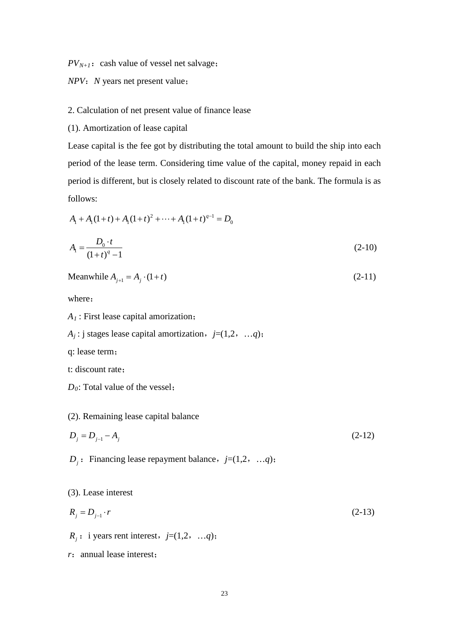$PV_{N+1}$ : cash value of vessel net salvage;

## *NPV*:*N* years net present value;

#### 2. Calculation of net present value of finance lease

(1). Amortization of lease capital

Lease capital is the fee got by distributing the total amount to build the ship into each period of the lease term. Considering time value of the capital, money repaid in each period is different, but is closely related to discount rate of the bank. The formula is as follows:

$$
A_1 + A_1(1+t) + A_1(1+t)^2 + \dots + A_1(1+t)^{q-1} = D_0
$$
  

$$
A_1 = \frac{D_0 \cdot t}{(1+t)^q - 1}
$$
 (2-10)

Meanwhile 
$$
A_{j+1} = A_j \cdot (1+t)
$$
 (2-11)

where:

*A1* : First lease capital amorization;

- $A_j$ : j stages lease capital amortization,  $j=(1,2, ..., q)$ ;
- q: lease term;

t: discount rate;

*D*<sub>0</sub>: Total value of the vessel;

#### (2). Remaining lease capital balance

$$
D_j = D_{j-1} - A_j \tag{2-12}
$$

*D<sub>i</sub>*: Financing lease repayment balance,  $j=(1,2, ..., q)$ ;

(3). Lease interest

$$
R_j = D_{j-1} \cdot r \tag{2-13}
$$

 $R_i$ : i years rent interest,  $j=(1,2, ..., q)$ ;

*r*: annual lease interest;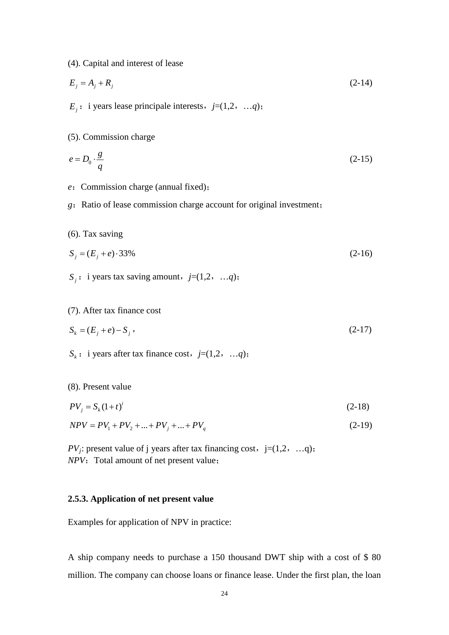(4). Capital and interest of lease

$$
E_j = A_j + R_j \tag{2-14}
$$

 $E_i$ : i years lease principale interests,  $j=(1,2, ..., q)$ ;

(5). Commission charge

$$
e = D_0 \cdot \frac{g}{q} \tag{2-15}
$$

- *e*: Commission charge (annual fixed);
- *g*: Ratio of lease commission charge account for original investment;
- (6). Tax saving

$$
S_j = (E_j + e) \cdot 33\% \tag{2-16}
$$

 $S_i$ : i years tax saving amount,  $j=(1,2, ..., q)$ ;

(7). After tax finance cost

$$
S_k = (E_j + e) - S_j,
$$
\n(2-17)

 $S_k$ : i years after tax finance cost, *j*=(1,2, …*q*);

(8). Present value

$$
PV_j = S_k (1+t)^i \tag{2-18}
$$

$$
NPV = PV_1 + PV_2 + ... + PV_j + ... + PV_q
$$
\n(2-19)

*PV<sub>i</sub>*: present value of j years after tax financing cost,  $j=(1,2, ..., q)$ ; *NPV*: Total amount of net present value;

#### **2.5.3. Application of net present value**

Examples for application of NPV in practice:

A ship company needs to purchase a 150 thousand DWT ship with a cost of \$ 80 million. The company can choose loans or finance lease. Under the first plan, the loan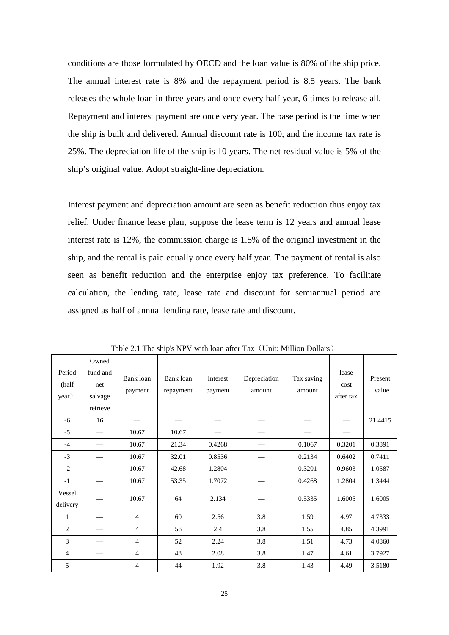conditions are those formulated by OECD and the loan value is 80% of the ship price. The annual interest rate is 8% and the repayment period is 8.5 years. The bank releases the whole loan in three years and once every half year, 6 times to release all. Repayment and interest payment are once very year. The base period is the time when the ship is built and delivered. Annual discount rate is 100, and the income tax rate is 25%. The depreciation life of the ship is 10 years. The net residual value is 5% of the ship's original value. Adopt straight-line depreciation.

Interest payment and depreciation amount are seen as benefit reduction thus enjoy tax relief. Under finance lease plan, suppose the lease term is 12 years and annual lease interest rate is 12%, the commission charge is 1.5% of the original investment in the ship, and the rental is paid equally once every half year. The payment of rental is also seen as benefit reduction and the enterprise enjoy tax preference. To facilitate calculation, the lending rate, lease rate and discount for semiannual period are assigned as half of annual lending rate, lease rate and discount.

| Period<br>(half<br>year) | Owned<br>fund and<br>net<br>salvage<br>retrieve | Bank loan<br>payment | Bank loan<br>repayment | Interest<br>payment | Depreciation<br>amount | Tax saving<br>amount | lease<br>cost<br>after tax | Present<br>value |
|--------------------------|-------------------------------------------------|----------------------|------------------------|---------------------|------------------------|----------------------|----------------------------|------------------|
| $-6$                     | 16                                              |                      |                        |                     |                        |                      |                            | 21.4415          |
| $-5$                     |                                                 | 10.67                | 10.67                  |                     |                        |                      |                            |                  |
| $-4$                     |                                                 | 10.67                | 21.34                  | 0.4268              |                        | 0.1067               | 0.3201                     | 0.3891           |
| $-3$                     |                                                 | 10.67                | 32.01                  | 0.8536              |                        | 0.2134               | 0.6402                     | 0.7411           |
| $-2$                     |                                                 | 10.67                | 42.68                  | 1.2804              |                        | 0.3201               | 0.9603                     | 1.0587           |
| $-1$                     |                                                 | 10.67                | 53.35                  | 1.7072              |                        | 0.4268               | 1.2804                     | 1.3444           |
| Vessel<br>delivery       |                                                 | 10.67                | 64                     | 2.134               |                        | 0.5335               | 1.6005                     | 1.6005           |
| 1                        |                                                 | $\overline{4}$       | 60                     | 2.56                | 3.8                    | 1.59                 | 4.97                       | 4.7333           |
| $\overline{2}$           |                                                 | 4                    | 56                     | 2.4                 | 3.8                    | 1.55                 | 4.85                       | 4.3991           |
| 3                        |                                                 | $\overline{4}$       | 52                     | 2.24                | 3.8                    | 1.51                 | 4.73                       | 4.0860           |
| 4                        |                                                 | 4                    | 48                     | 2.08                | 3.8                    | 1.47                 | 4.61                       | 3.7927           |
| 5                        |                                                 | 4                    | 44                     | 1.92                | 3.8                    | 1.43                 | 4.49                       | 3.5180           |

Table 2.1 The ship's NPV with loan after Tax (Unit: Million Dollars)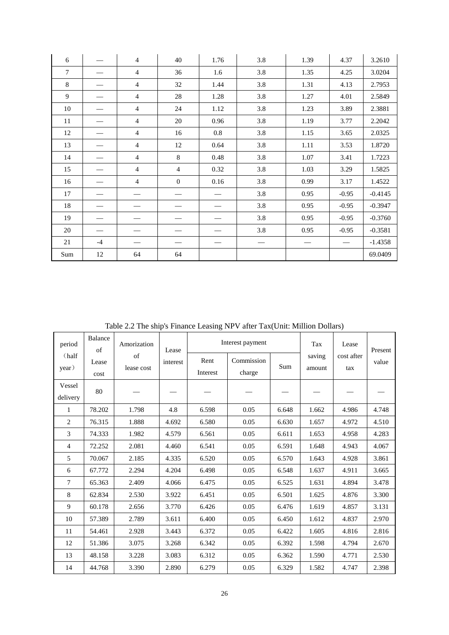| 6              |      | $\overline{4}$ | 40           | 1.76 | 3.8 | 1.39 | 4.37              | 3.2610    |
|----------------|------|----------------|--------------|------|-----|------|-------------------|-----------|
| $\overline{7}$ |      | $\overline{4}$ | 36           | 1.6  | 3.8 | 1.35 | 4.25              | 3.0204    |
| 8              |      | $\overline{4}$ | 32           | 1.44 | 3.8 | 1.31 | 4.13              | 2.7953    |
| 9              |      | $\overline{4}$ | 28           | 1.28 | 3.8 | 1.27 | 4.01              | 2.5849    |
| 10             |      | $\overline{4}$ | 24           | 1.12 | 3.8 | 1.23 | 3.89              | 2.3881    |
| 11             |      | $\overline{4}$ | 20           | 0.96 | 3.8 | 1.19 | 3.77              | 2.2042    |
| 12             |      | $\overline{4}$ | 16           | 0.8  | 3.8 | 1.15 | 3.65              | 2.0325    |
| 13             |      | $\overline{4}$ | 12           | 0.64 | 3.8 | 1.11 | 3.53              | 1.8720    |
| 14             |      | $\overline{4}$ | 8            | 0.48 | 3.8 | 1.07 | 3.41              | 1.7223    |
| 15             |      | $\overline{4}$ | 4            | 0.32 | 3.8 | 1.03 | 3.29              | 1.5825    |
| 16             |      | $\overline{4}$ | $\mathbf{0}$ | 0.16 | 3.8 | 0.99 | 3.17              | 1.4522    |
| 17             |      |                |              |      | 3.8 | 0.95 | $-0.95$           | $-0.4145$ |
| 18             |      |                |              |      | 3.8 | 0.95 | $-0.95$           | $-0.3947$ |
| 19             |      |                |              |      | 3.8 | 0.95 | $-0.95$           | $-0.3760$ |
| 20             |      |                |              |      | 3.8 | 0.95 | $-0.95$           | $-0.3581$ |
| 21             | $-4$ |                |              |      |     |      | $\hspace{0.05cm}$ | $-1.4358$ |
| Sum            | 12   | 64             | 64           |      |     |      |                   | 69.0409   |

Table 2.2 The ship's Finance Leasing NPV after Tax(Unit: Million Dollars)

| Balance<br>period<br>of |               | Amorization      | Lease    |                  | Interest payment     | Tax   | Lease            | Present           |       |
|-------------------------|---------------|------------------|----------|------------------|----------------------|-------|------------------|-------------------|-------|
| (half<br>year)          | Lease<br>cost | of<br>lease cost | interest | Rent<br>Interest | Commission<br>charge | Sum   | saving<br>amount | cost after<br>tax | value |
| Vessel<br>delivery      | 80            |                  |          |                  |                      |       |                  |                   |       |
| $\mathbf{1}$            | 78.202        | 1.798            | 4.8      | 6.598            | 0.05                 | 6.648 | 1.662            | 4.986             | 4.748 |
| $\overline{2}$          | 76.315        | 1.888            | 4.692    | 6.580            | 0.05                 | 6.630 | 1.657            | 4.972             | 4.510 |
| 3                       | 74.333        | 1.982            | 4.579    | 6.561            | 0.05                 | 6.611 | 1.653            | 4.958             | 4.283 |
| 4                       | 72.252        | 2.081            | 4.460    | 6.541            | 0.05                 | 6.591 | 1.648            | 4.943             | 4.067 |
| 5                       | 70.067        | 2.185            | 4.335    | 6.520            | 0.05                 | 6.570 | 1.643            | 4.928             | 3.861 |
| 6                       | 67.772        | 2.294            | 4.204    | 6.498            | 0.05                 | 6.548 | 1.637            | 4.911             | 3.665 |
| $\overline{7}$          | 65.363        | 2.409            | 4.066    | 6.475            | 0.05                 | 6.525 | 1.631            | 4.894             | 3.478 |
| 8                       | 62.834        | 2.530            | 3.922    | 6.451            | 0.05                 | 6.501 | 1.625            | 4.876             | 3.300 |
| 9                       | 60.178        | 2.656            | 3.770    | 6.426            | 0.05                 | 6.476 | 1.619            | 4.857             | 3.131 |
| 10                      | 57.389        | 2.789            | 3.611    | 6.400            | 0.05                 | 6.450 | 1.612            | 4.837             | 2.970 |
| 11                      | 54.461        | 2.928            | 3.443    | 6.372            | 0.05                 | 6.422 | 1.605            | 4.816             | 2.816 |
| 12                      | 51.386        | 3.075            | 3.268    | 6.342            | 0.05                 | 6.392 | 1.598            | 4.794             | 2.670 |
| 13                      | 48.158        | 3.228            | 3.083    | 6.312            | 0.05                 | 6.362 | 1.590            | 4.771             | 2.530 |
| 14                      | 44.768        | 3.390            | 2.890    | 6.279            | 0.05                 | 6.329 | 1.582            | 4.747             | 2.398 |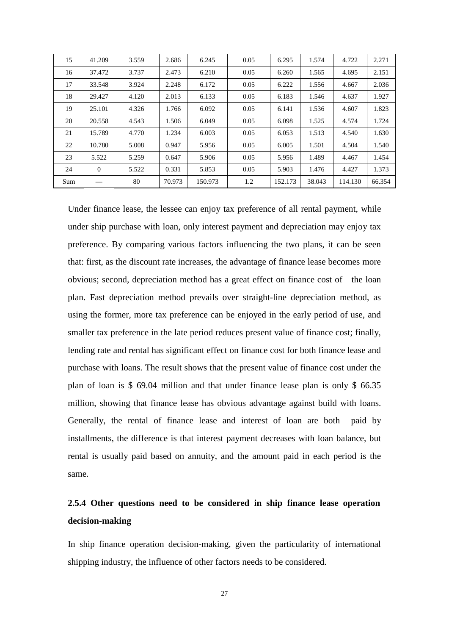| 15  | 41.209   | 3.559 | 2.686  | 6.245   | 0.05 | 6.295   | 1.574  | 4.722   | 2.271  |
|-----|----------|-------|--------|---------|------|---------|--------|---------|--------|
| 16  | 37.472   | 3.737 | 2.473  | 6.210   | 0.05 | 6.260   | 1.565  | 4.695   | 2.151  |
| 17  | 33.548   | 3.924 | 2.248  | 6.172   | 0.05 | 6.222   | 1.556  | 4.667   | 2.036  |
| 18  | 29.427   | 4.120 | 2.013  | 6.133   | 0.05 | 6.183   | 1.546  | 4.637   | 1.927  |
| 19  | 25.101   | 4.326 | 1.766  | 6.092   | 0.05 | 6.141   | 1.536  | 4.607   | 1.823  |
| 20  | 20.558   | 4.543 | 1.506  | 6.049   | 0.05 | 6.098   | 1.525  | 4.574   | 1.724  |
| 21  | 15.789   | 4.770 | 1.234  | 6.003   | 0.05 | 6.053   | 1.513  | 4.540   | 1.630  |
| 22  | 10.780   | 5.008 | 0.947  | 5.956   | 0.05 | 6.005   | 1.501  | 4.504   | 1.540  |
| 23  | 5.522    | 5.259 | 0.647  | 5.906   | 0.05 | 5.956   | 1.489  | 4.467   | 1.454  |
| 24  | $\Omega$ | 5.522 | 0.331  | 5.853   | 0.05 | 5.903   | 1.476  | 4.427   | 1.373  |
| Sum |          | 80    | 70.973 | 150.973 | 1.2  | 152.173 | 38.043 | 114.130 | 66.354 |

Under finance lease, the lessee can enjoy tax preference of all rental payment, while under ship purchase with loan, only interest payment and depreciation may enjoy tax preference. By comparing various factors influencing the two plans, it can be seen that: first, as the discount rate increases, the advantage of finance lease becomes more obvious; second, depreciation method has a great effect on finance cost of the loan plan. Fast depreciation method prevails over straight-line depreciation method, as using the former, more tax preference can be enjoyed in the early period of use, and smaller tax preference in the late period reduces present value of finance cost; finally, lending rate and rental has significant effect on finance cost for both finance lease and purchase with loans. The result shows that the present value of finance cost under the plan of loan is \$ 69.04 million and that under finance lease plan is only \$ 66.35 million, showing that finance lease has obvious advantage against build with loans. Generally, the rental of finance lease and interest of loan are both paid by installments, the difference is that interest payment decreases with loan balance, but rental is usually paid based on annuity, and the amount paid in each period is the same.

# **2.5.4 Other questions need to be considered in ship finance lease operation decision-making**

In ship finance operation decision-making, given the particularity of international shipping industry, the influence of other factors needs to be considered.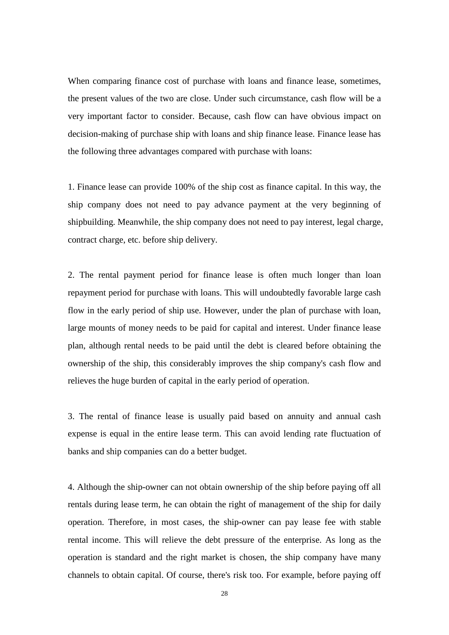When comparing finance cost of purchase with loans and finance lease, sometimes, the present values of the two are close. Under such circumstance, cash flow will be a very important factor to consider. Because, cash flow can have obvious impact on decision-making of purchase ship with loans and ship finance lease. Finance lease has the following three advantages compared with purchase with loans:

1. Finance lease can provide 100% of the ship cost as finance capital. In this way, the ship company does not need to pay advance payment at the very beginning of shipbuilding. Meanwhile, the ship company does not need to pay interest, legal charge, contract charge, etc. before ship delivery.

2. The rental payment period for finance lease is often much longer than loan repayment period for purchase with loans. This will undoubtedly favorable large cash flow in the early period of ship use. However, under the plan of purchase with loan, large mounts of money needs to be paid for capital and interest. Under finance lease plan, although rental needs to be paid until the debt is cleared before obtaining the ownership of the ship, this considerably improves the ship company's cash flow and relieves the huge burden of capital in the early period of operation.

3. The rental of finance lease is usually paid based on annuity and annual cash expense is equal in the entire lease term. This can avoid lending rate fluctuation of banks and ship companies can do a better budget.

4. Although the ship-owner can not obtain ownership of the ship before paying off all rentals during lease term, he can obtain the right of management of the ship for daily operation. Therefore, in most cases, the ship-owner can pay lease fee with stable rental income. This will relieve the debt pressure of the enterprise. As long as the operation is standard and the right market is chosen, the ship company have many channels to obtain capital. Of course, there's risk too. For example, before paying off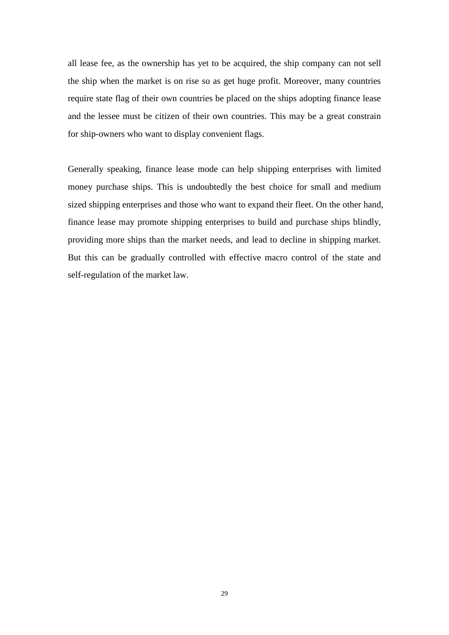all lease fee, as the ownership has yet to be acquired, the ship company can not sell the ship when the market is on rise so as get huge profit. Moreover, many countries require state flag of their own countries be placed on the ships adopting finance lease and the lessee must be citizen of their own countries. This may be a great constrain for ship-owners who want to display convenient flags.

Generally speaking, finance lease mode can help shipping enterprises with limited money purchase ships. This is undoubtedly the best choice for small and medium sized shipping enterprises and those who want to expand their fleet. On the other hand, finance lease may promote shipping enterprises to build and purchase ships blindly, providing more ships than the market needs, and lead to decline in shipping market. But this can be gradually controlled with effective macro control of the state and self-regulation of the market law.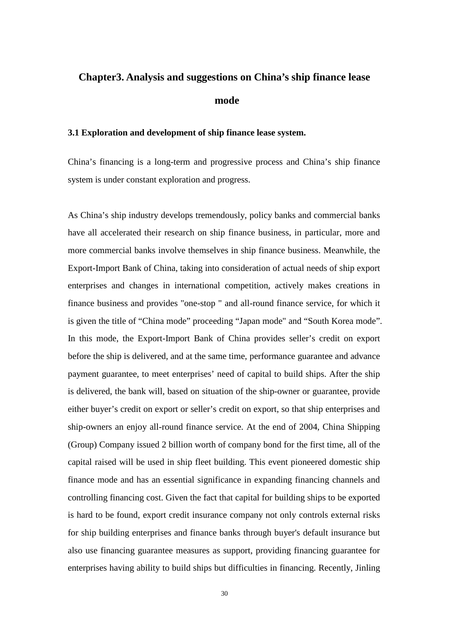# **Chapter3. Analysis and suggestions on China's ship finance lease mode**

# **3.1 Exploration and development of ship finance lease system.**

China's financing is a long-term and progressive process and China's ship finance system is under constant exploration and progress.

As China's ship industry develops tremendously, policy banks and commercial banks have all accelerated their research on ship finance business, in particular, more and more commercial banks involve themselves in ship finance business. Meanwhile, the Export-Import Bank of China, taking into consideration of actual needs of ship export enterprises and changes in international competition, actively makes creations in finance business and provides "one-stop " and all-round finance service, for which it is given the title of "China mode" proceeding "Japan mode" and "South Korea mode". In this mode, the Export-Import Bank of China provides seller's credit on export before the ship is delivered, and at the same time, performance guarantee and advance payment guarantee, to meet enterprises' need of capital to build ships. After the ship is delivered, the bank will, based on situation of the ship-owner or guarantee, provide either buyer's credit on export or seller's credit on export, so that ship enterprises and ship-owners an enjoy all-round finance service. At the end of 2004, China Shipping (Group) Company issued 2 billion worth of company bond for the first time, all of the capital raised will be used in ship fleet building. This event pioneered domestic ship finance mode and has an essential significance in expanding financing channels and controlling financing cost. Given the fact that capital for building ships to be exported is hard to be found, export credit insurance company not only controls external risks for ship building enterprises and finance banks through buyer's default insurance but also use financing guarantee measures as support, providing financing guarantee for enterprises having ability to build ships but difficulties in financing. Recently, Jinling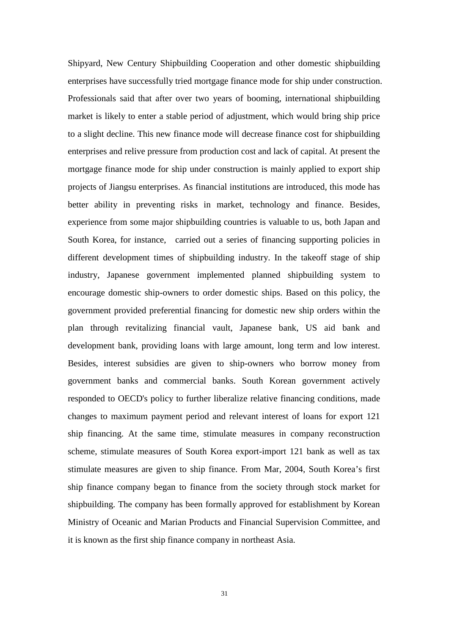Shipyard, New Century Shipbuilding Cooperation and other domestic shipbuilding enterprises have successfully tried mortgage finance mode for ship under construction. Professionals said that after over two years of booming, international shipbuilding market is likely to enter a stable period of adjustment, which would bring ship price to a slight decline. This new finance mode will decrease finance cost for shipbuilding enterprises and relive pressure from production cost and lack of capital. At present the mortgage finance mode for ship under construction is mainly applied to export ship projects of Jiangsu enterprises. As financial institutions are introduced, this mode has better ability in preventing risks in market, technology and finance. Besides, experience from some major shipbuilding countries is valuable to us, both Japan and South Korea, for instance, carried out a series of financing supporting policies in different development times of shipbuilding industry. In the takeoff stage of ship industry, Japanese government implemented planned shipbuilding system to encourage domestic ship-owners to order domestic ships. Based on this policy, the government provided preferential financing for domestic new ship orders within the plan through revitalizing financial vault, Japanese bank, US aid bank and development bank, providing loans with large amount, long term and low interest. Besides, interest subsidies are given to ship-owners who borrow money from government banks and commercial banks. South Korean government actively responded to OECD's policy to further liberalize relative financing conditions, made changes to maximum payment period and relevant interest of loans for export 121 ship financing. At the same time, stimulate measures in company reconstruction scheme, stimulate measures of South Korea export-import 121 bank as well as tax stimulate measures are given to ship finance. From Mar, 2004, South Korea's first ship finance company began to finance from the society through stock market for shipbuilding. The company has been formally approved for establishment by Korean Ministry of Oceanic and Marian Products and Financial Supervision Committee, and it is known as the first ship finance company in northeast Asia.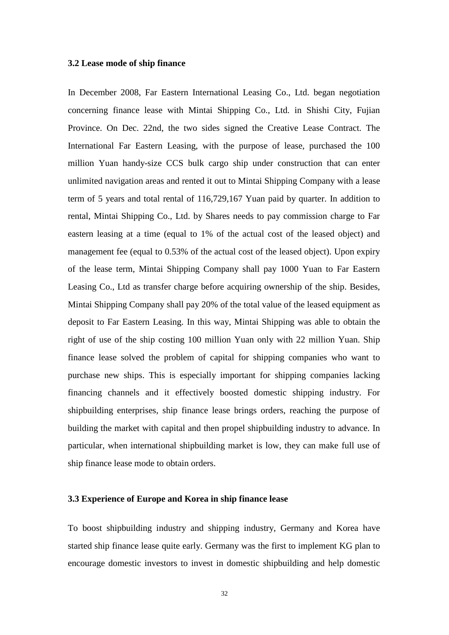#### **3.2 Lease mode of ship finance**

In December 2008, Far Eastern International Leasing Co., Ltd. began negotiation concerning finance lease with Mintai Shipping Co., Ltd. in Shishi City, Fujian Province. On Dec. 22nd, the two sides signed the Creative Lease Contract. The International Far Eastern Leasing, with the purpose of lease, purchased the 100 million Yuan handy-size CCS bulk cargo ship under construction that can enter unlimited navigation areas and rented it out to Mintai Shipping Company with a lease term of 5 years and total rental of 116,729,167 Yuan paid by quarter. In addition to rental, Mintai Shipping Co., Ltd. by Shares needs to pay commission charge to Far eastern leasing at a time (equal to 1% of the actual cost of the leased object) and management fee (equal to 0.53% of the actual cost of the leased object). Upon expiry of the lease term, Mintai Shipping Company shall pay 1000 Yuan to Far Eastern Leasing Co., Ltd as transfer charge before acquiring ownership of the ship. Besides, Mintai Shipping Company shall pay 20% of the total value of the leased equipment as deposit to Far Eastern Leasing. In this way, Mintai Shipping was able to obtain the right of use of the ship costing 100 million Yuan only with 22 million Yuan. Ship finance lease solved the problem of capital for shipping companies who want to purchase new ships. This is especially important for shipping companies lacking financing channels and it effectively boosted domestic shipping industry. For shipbuilding enterprises, ship finance lease brings orders, reaching the purpose of building the market with capital and then propel shipbuilding industry to advance. In particular, when international shipbuilding market is low, they can make full use of ship finance lease mode to obtain orders.

# **3.3 Experience of Europe and Korea in ship finance lease**

To boost shipbuilding industry and shipping industry, Germany and Korea have started ship finance lease quite early. Germany was the first to implement KG plan to encourage domestic investors to invest in domestic shipbuilding and help domestic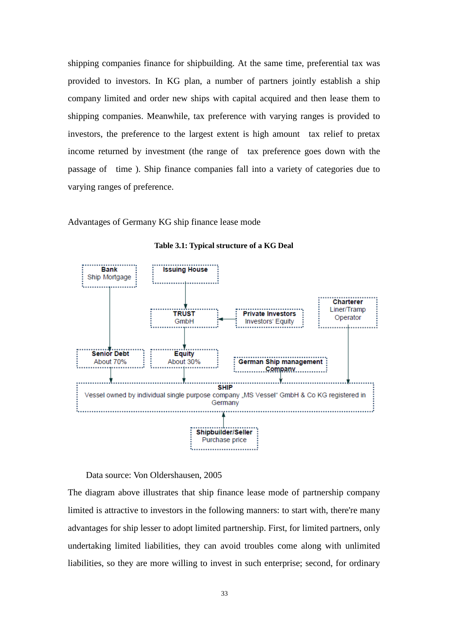shipping companies finance for shipbuilding. At the same time, preferential tax was provided to investors. In KG plan, a number of partners jointly establish a ship company limited and order new ships with capital acquired and then lease them to shipping companies. Meanwhile, tax preference with varying ranges is provided to investors, the preference to the largest extent is high amount tax relief to pretax income returned by investment (the range of tax preference goes down with the passage of time ). Ship finance companies fall into a variety of categories due to varying ranges of preference.

Advantages of Germany KG ship finance lease mode



**Table 3.1: Typical structure of a KG Deal**

Data source: Von Oldershausen, 2005

The diagram above illustrates that ship finance lease mode of partnership company limited is attractive to investors in the following manners: to start with, there're many advantages for ship lesser to adopt limited partnership. First, for limited partners, only undertaking limited liabilities, they can avoid troubles come along with unlimited liabilities, so they are more willing to invest in such enterprise; second, for ordinary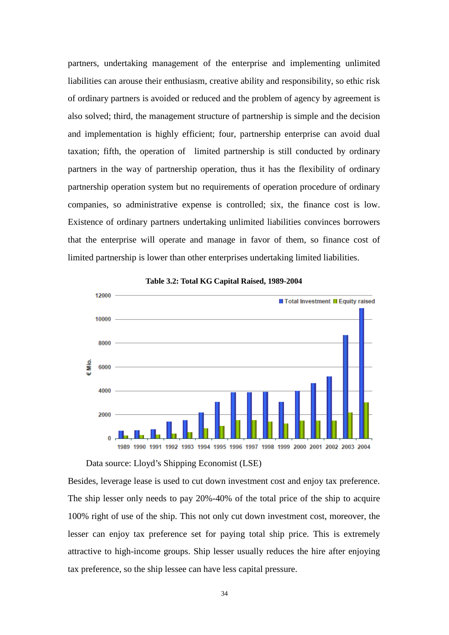partners, undertaking management of the enterprise and implementing unlimited liabilities can arouse their enthusiasm, creative ability and responsibility, so ethic risk of ordinary partners is avoided or reduced and the problem of agency by agreement is also solved; third, the management structure of partnership is simple and the decision and implementation is highly efficient; four, partnership enterprise can avoid dual taxation; fifth, the operation of limited partnership is still conducted by ordinary partners in the way of partnership operation, thus it has the flexibility of ordinary partnership operation system but no requirements of operation procedure of ordinary companies, so administrative expense is controlled; six, the finance cost is low. Existence of ordinary partners undertaking unlimited liabilities convinces borrowers that the enterprise will operate and manage in favor of them, so finance cost of limited partnership is lower than other enterprises undertaking limited liabilities.



#### **Table 3.2: Total KG Capital Raised, 1989-2004**

Data source: Lloyd's Shipping Economist (LSE)

Besides, leverage lease is used to cut down investment cost and enjoy tax preference. The ship lesser only needs to pay 20%-40% of the total price of the ship to acquire 100% right of use of the ship. This not only cut down investment cost, moreover, the lesser can enjoy tax preference set for paying total ship price. This is extremely attractive to high-income groups. Ship lesser usually reduces the hire after enjoying tax preference, so the ship lessee can have less capital pressure.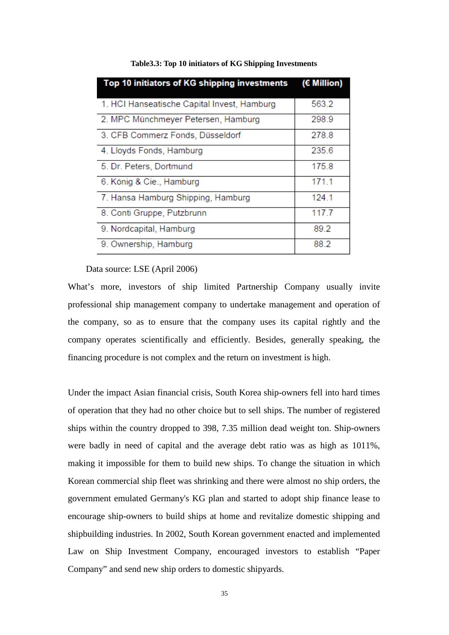| Top 10 initiators of KG shipping investments | (€ Million) |
|----------------------------------------------|-------------|
| 1. HCI Hanseatische Capital Invest, Hamburg  | 563.2       |
| 2. MPC Münchmeyer Petersen, Hamburg          | 298.9       |
| 3. CFB Commerz Fonds, Düsseldorf             | 278.8       |
| 4. Lloyds Fonds, Hamburg                     | 235.6       |
| 5. Dr. Peters, Dortmund                      | 175.8       |
| 6. König & Cie., Hamburg                     | 171.1       |
| 7. Hansa Hamburg Shipping, Hamburg           | 124.1       |
| 8. Conti Gruppe, Putzbrunn                   | 117.7       |
| 9. Nordcapital, Hamburg                      | 89.2        |
| 9. Ownership, Hamburg                        | 88.2        |

**Table3.3: Top 10 initiators of KG Shipping Investments**

# Data source: LSE (April 2006)

What's more, investors of ship limited Partnership Company usually invite professional ship management company to undertake management and operation of the company, so as to ensure that the company uses its capital rightly and the company operates scientifically and efficiently. Besides, generally speaking, the financing procedure is not complex and the return on investment is high.

Under the impact Asian financial crisis, South Korea ship-owners fell into hard times of operation that they had no other choice but to sell ships. The number of registered ships within the country dropped to 398, 7.35 million dead weight ton. Ship-owners were badly in need of capital and the average debt ratio was as high as 1011%, making it impossible for them to build new ships. To change the situation in which Korean commercial ship fleet was shrinking and there were almost no ship orders, the government emulated Germany's KG plan and started to adopt ship finance lease to encourage ship-owners to build ships at home and revitalize domestic shipping and shipbuilding industries. In 2002, South Korean government enacted and implemented Law on Ship Investment Company, encouraged investors to establish "Paper Company" and send new ship orders to domestic shipyards.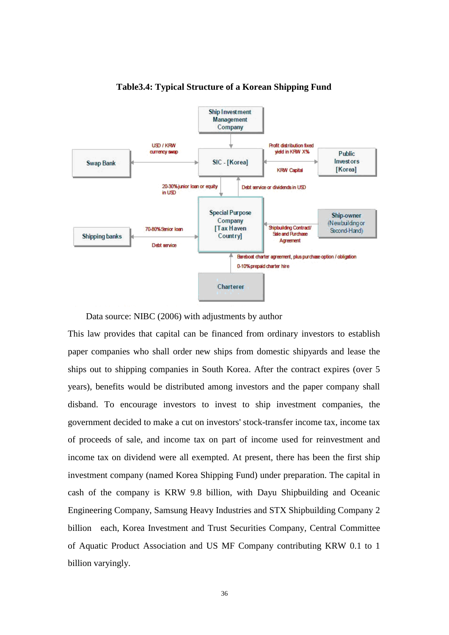

# **Table3.4: Typical Structure of a Korean Shipping Fund**

Data source: NIBC (2006) with adjustments by author

This law provides that capital can be financed from ordinary investors to establish paper companies who shall order new ships from domestic shipyards and lease the ships out to shipping companies in South Korea. After the contract expires (over 5 years), benefits would be distributed among investors and the paper company shall disband. To encourage investors to invest to ship investment companies, the government decided to make a cut on investors' stock-transfer income tax, income tax of proceeds of sale, and income tax on part of income used for reinvestment and income tax on dividend were all exempted. At present, there has been the first ship investment company (named Korea Shipping Fund) under preparation. The capital in cash of the company is KRW 9.8 billion, with Dayu Shipbuilding and Oceanic Engineering Company, Samsung Heavy Industries and STX Shipbuilding Company 2 billion each, Korea Investment and Trust Securities Company, Central Committee of Aquatic Product Association and US MF Company contributing KRW 0.1 to 1 billion varyingly.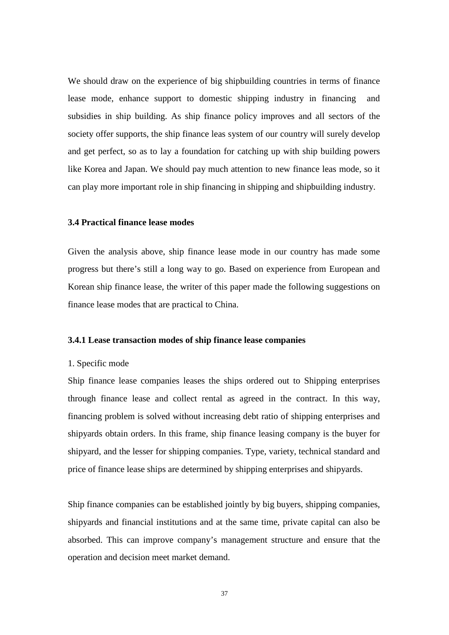We should draw on the experience of big shipbuilding countries in terms of finance lease mode, enhance support to domestic shipping industry in financing and subsidies in ship building. As ship finance policy improves and all sectors of the society offer supports, the ship finance leas system of our country will surely develop and get perfect, so as to lay a foundation for catching up with ship building powers like Korea and Japan. We should pay much attention to new finance leas mode, so it can play more important role in ship financing in shipping and shipbuilding industry.

#### **3.4 Practical finance lease modes**

Given the analysis above, ship finance lease mode in our country has made some progress but there's still a long way to go. Based on experience from European and Korean ship finance lease, the writer of this paper made the following suggestions on finance lease modes that are practical to China.

# **3.4.1 Lease transaction modes of ship finance lease companies**

#### 1. Specific mode

Ship finance lease companies leases the ships ordered out to Shipping enterprises through finance lease and collect rental as agreed in the contract. In this way, financing problem is solved without increasing debt ratio of shipping enterprises and shipyards obtain orders. In this frame, ship finance leasing company is the buyer for shipyard, and the lesser for shipping companies. Type, variety, technical standard and price of finance lease ships are determined by shipping enterprises and shipyards.

Ship finance companies can be established jointly by big buyers, shipping companies, shipyards and financial institutions and at the same time, private capital can also be absorbed. This can improve company's management structure and ensure that the operation and decision meet market demand.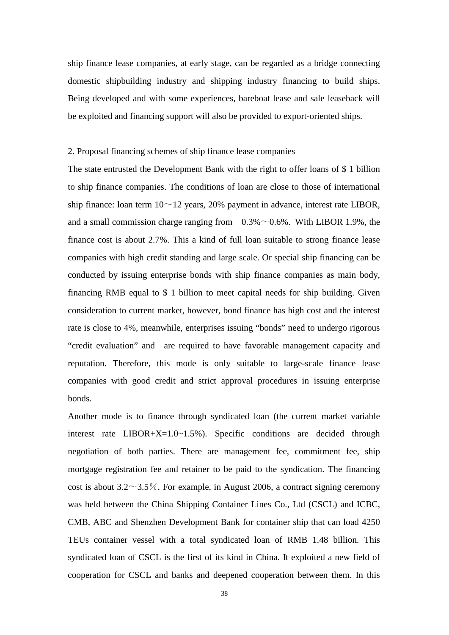ship finance lease companies, at early stage, can be regarded as a bridge connecting domestic shipbuilding industry and shipping industry financing to build ships. Being developed and with some experiences, bareboat lease and sale leaseback will be exploited and financing support will also be provided to export-oriented ships.

#### 2. Proposal financing schemes of ship finance lease companies

The state entrusted the Development Bank with the right to offer loans of \$ 1 billion to ship finance companies. The conditions of loan are close to those of international ship finance: loan term  $10 \sim 12$  years, 20% payment in advance, interest rate LIBOR, and a small commission charge ranging from  $0.3\% \sim 0.6\%$ . With LIBOR 1.9%, the finance cost is about 2.7%. This a kind of full loan suitable to strong finance lease companies with high credit standing and large scale. Or special ship financing can be conducted by issuing enterprise bonds with ship finance companies as main body, financing RMB equal to \$ 1 billion to meet capital needs for ship building. Given consideration to current market, however, bond finance has high cost and the interest rate is close to 4%, meanwhile, enterprises issuing "bonds" need to undergo rigorous "credit evaluation" and are required to have favorable management capacity and reputation. Therefore, this mode is only suitable to large-scale finance lease companies with good credit and strict approval procedures in issuing enterprise bonds.

Another mode is to finance through syndicated loan (the current market variable interest rate LIBOR+X=1.0~1.5%). Specific conditions are decided through negotiation of both parties. There are management fee, commitment fee, ship mortgage registration fee and retainer to be paid to the syndication. The financing cost is about  $3.2 \sim 3.5\%$ . For example, in August 2006, a contract signing ceremony was held between the China Shipping Container Lines Co., Ltd (CSCL) and ICBC, CMB, ABC and Shenzhen Development Bank for container ship that can load 4250 TEUs container vessel with a total syndicated loan of RMB 1.48 billion. This syndicated loan of CSCL is the first of its kind in China. It exploited a new field of cooperation for CSCL and banks and deepened cooperation between them. In this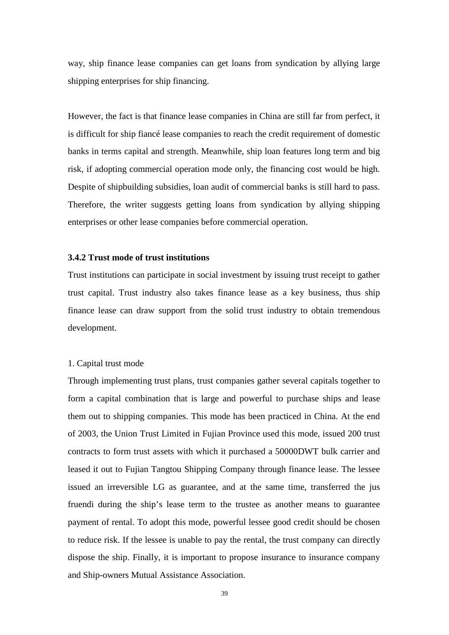way, ship finance lease companies can get loans from syndication by allying large shipping enterprises for ship financing.

However, the fact is that finance lease companies in China are still far from perfect, it is difficult for ship fiancé lease companies to reach the credit requirement of domestic banks in terms capital and strength. Meanwhile, ship loan features long term and big risk, if adopting commercial operation mode only, the financing cost would be high. Despite of shipbuilding subsidies, loan audit of commercial banks is still hard to pass. Therefore, the writer suggests getting loans from syndication by allying shipping enterprises or other lease companies before commercial operation.

#### **3.4.2 Trust mode of trust institutions**

Trust institutions can participate in social investment by issuing trust receipt to gather trust capital. Trust industry also takes finance lease as a key business, thus ship finance lease can draw support from the solid trust industry to obtain tremendous development.

#### 1. Capital trust mode

Through implementing trust plans, trust companies gather several capitals together to form a capital combination that is large and powerful to purchase ships and lease them out to shipping companies. This mode has been practiced in China. At the end of 2003, the Union Trust Limited in Fujian Province used this mode, issued 200 trust contracts to form trust assets with which it purchased a 50000DWT bulk carrier and leased it out to Fujian Tangtou Shipping Company through finance lease. The lessee issued an irreversible LG as guarantee, and at the same time, transferred the jus fruendi during the ship's lease term to the trustee as another means to guarantee payment of rental. To adopt this mode, powerful lessee good credit should be chosen to reduce risk. If the lessee is unable to pay the rental, the trust company can directly dispose the ship. Finally, it is important to propose insurance to insurance company and Ship-owners Mutual Assistance Association.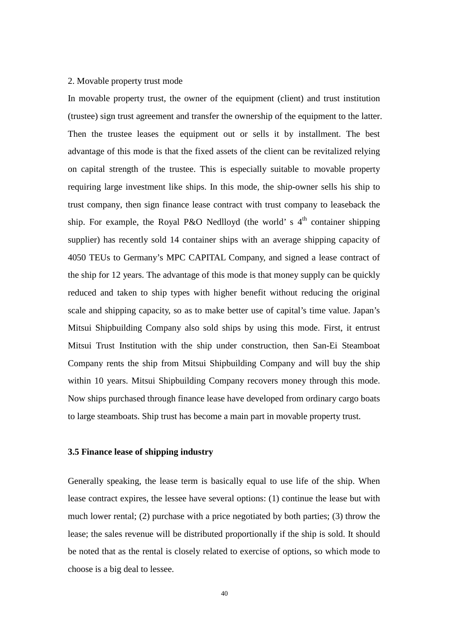#### 2. Movable property trust mode

In movable property trust, the owner of the equipment (client) and trust institution (trustee) sign trust agreement and transfer the ownership of the equipment to the latter. Then the trustee leases the equipment out or sells it by installment. The best advantage of this mode is that the fixed assets of the client can be revitalized relying on capital strength of the trustee. This is especially suitable to movable property requiring large investment like ships. In this mode, the ship-owner sells his ship to trust company, then sign finance lease contract with trust company to leaseback the ship. For example, the Royal P&O Nedlloyd (the world' s  $4<sup>th</sup>$  container shipping supplier) has recently sold 14 container ships with an average shipping capacity of 4050 TEUs to Germany's MPC CAPITAL Company, and signed a lease contract of the ship for 12 years. The advantage of this mode is that money supply can be quickly reduced and taken to ship types with higher benefit without reducing the original scale and shipping capacity, so as to make better use of capital's time value. Japan's Mitsui Shipbuilding Company also sold ships by using this mode. First, it entrust Mitsui Trust Institution with the ship under construction, then San-Ei Steamboat Company rents the ship from Mitsui Shipbuilding Company and will buy the ship within 10 years. Mitsui Shipbuilding Company recovers money through this mode. Now ships purchased through finance lease have developed from ordinary cargo boats to large steamboats. Ship trust has become a main part in movable property trust.

# **3.5 Finance lease of shipping industry**

Generally speaking, the lease term is basically equal to use life of the ship. When lease contract expires, the lessee have several options: (1) continue the lease but with much lower rental; (2) purchase with a price negotiated by both parties; (3) throw the lease; the sales revenue will be distributed proportionally if the ship is sold. It should be noted that as the rental is closely related to exercise of options, so which mode to choose is a big deal to lessee.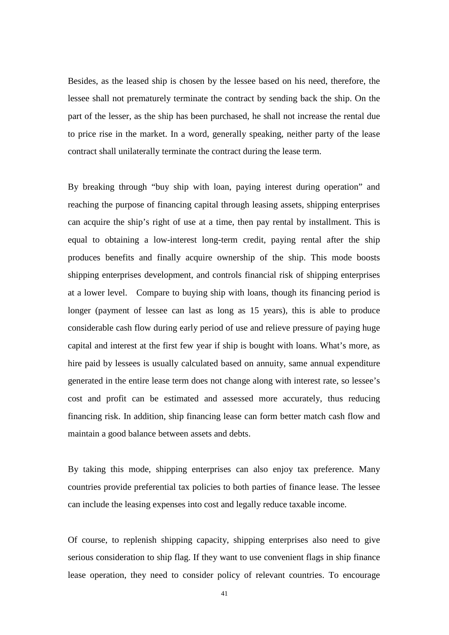Besides, as the leased ship is chosen by the lessee based on his need, therefore, the lessee shall not prematurely terminate the contract by sending back the ship. On the part of the lesser, as the ship has been purchased, he shall not increase the rental due to price rise in the market. In a word, generally speaking, neither party of the lease contract shall unilaterally terminate the contract during the lease term.

By breaking through "buy ship with loan, paying interest during operation" and reaching the purpose of financing capital through leasing assets, shipping enterprises can acquire the ship's right of use at a time, then pay rental by installment. This is equal to obtaining a low-interest long-term credit, paying rental after the ship produces benefits and finally acquire ownership of the ship. This mode boosts shipping enterprises development, and controls financial risk of shipping enterprises at a lower level. Compare to buying ship with loans, though its financing period is longer (payment of lessee can last as long as 15 years), this is able to produce considerable cash flow during early period of use and relieve pressure of paying huge capital and interest at the first few year if ship is bought with loans. What's more, as hire paid by lessees is usually calculated based on annuity, same annual expenditure generated in the entire lease term does not change along with interest rate, so lessee's cost and profit can be estimated and assessed more accurately, thus reducing financing risk. In addition, ship financing lease can form better match cash flow and maintain a good balance between assets and debts.

By taking this mode, shipping enterprises can also enjoy tax preference. Many countries provide preferential tax policies to both parties of finance lease. The lessee can include the leasing expenses into cost and legally reduce taxable income.

Of course, to replenish shipping capacity, shipping enterprises also need to give serious consideration to ship flag. If they want to use convenient flags in ship finance lease operation, they need to consider policy of relevant countries. To encourage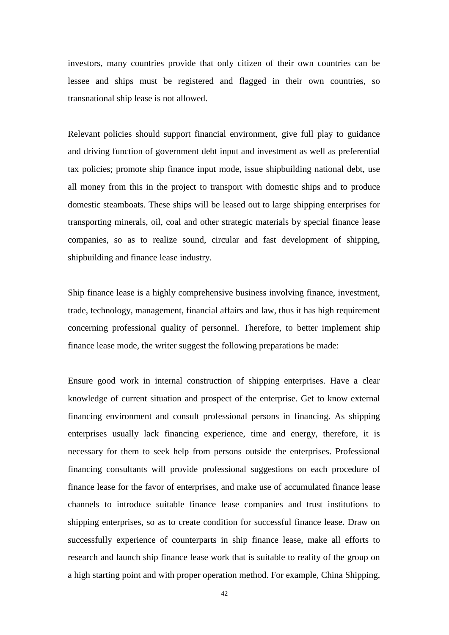investors, many countries provide that only citizen of their own countries can be lessee and ships must be registered and flagged in their own countries, so transnational ship lease is not allowed.

Relevant policies should support financial environment, give full play to guidance and driving function of government debt input and investment as well as preferential tax policies; promote ship finance input mode, issue shipbuilding national debt, use all money from this in the project to transport with domestic ships and to produce domestic steamboats. These ships will be leased out to large shipping enterprises for transporting minerals, oil, coal and other strategic materials by special finance lease companies, so as to realize sound, circular and fast development of shipping, shipbuilding and finance lease industry.

Ship finance lease is a highly comprehensive business involving finance, investment, trade, technology, management, financial affairs and law, thus it has high requirement concerning professional quality of personnel. Therefore, to better implement ship finance lease mode, the writer suggest the following preparations be made:

Ensure good work in internal construction of shipping enterprises. Have a clear knowledge of current situation and prospect of the enterprise. Get to know external financing environment and consult professional persons in financing. As shipping enterprises usually lack financing experience, time and energy, therefore, it is necessary for them to seek help from persons outside the enterprises. Professional financing consultants will provide professional suggestions on each procedure of finance lease for the favor of enterprises, and make use of accumulated finance lease channels to introduce suitable finance lease companies and trust institutions to shipping enterprises, so as to create condition for successful finance lease. Draw on successfully experience of counterparts in ship finance lease, make all efforts to research and launch ship finance lease work that is suitable to reality of the group on a high starting point and with proper operation method. For example, China Shipping,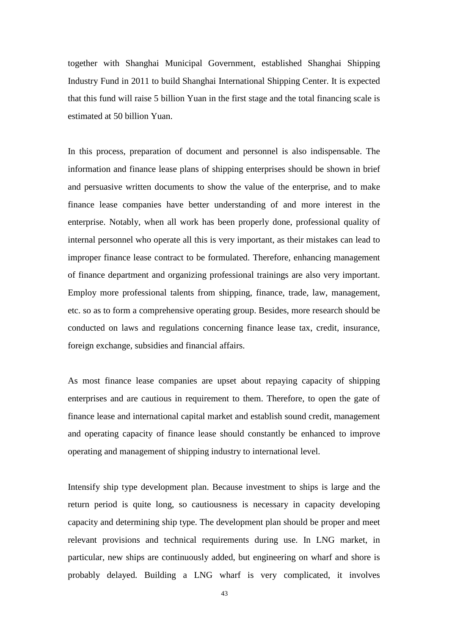together with Shanghai Municipal Government, established Shanghai Shipping Industry Fund in 2011 to build Shanghai International Shipping Center. It is expected that this fund will raise 5 billion Yuan in the first stage and the total financing scale is estimated at 50 billion Yuan.

In this process, preparation of document and personnel is also indispensable. The information and finance lease plans of shipping enterprises should be shown in brief and persuasive written documents to show the value of the enterprise, and to make finance lease companies have better understanding of and more interest in the enterprise. Notably, when all work has been properly done, professional quality of internal personnel who operate all this is very important, as their mistakes can lead to improper finance lease contract to be formulated. Therefore, enhancing management of finance department and organizing professional trainings are also very important. Employ more professional talents from shipping, finance, trade, law, management, etc. so as to form a comprehensive operating group. Besides, more research should be conducted on laws and regulations concerning finance lease tax, credit, insurance, foreign exchange, subsidies and financial affairs.

As most finance lease companies are upset about repaying capacity of shipping enterprises and are cautious in requirement to them. Therefore, to open the gate of finance lease and international capital market and establish sound credit, management and operating capacity of finance lease should constantly be enhanced to improve operating and management of shipping industry to international level.

Intensify ship type development plan. Because investment to ships is large and the return period is quite long, so cautiousness is necessary in capacity developing capacity and determining ship type. The development plan should be proper and meet relevant provisions and technical requirements during use. In LNG market, in particular, new ships are continuously added, but engineering on wharf and shore is probably delayed. Building a LNG wharf is very complicated, it involves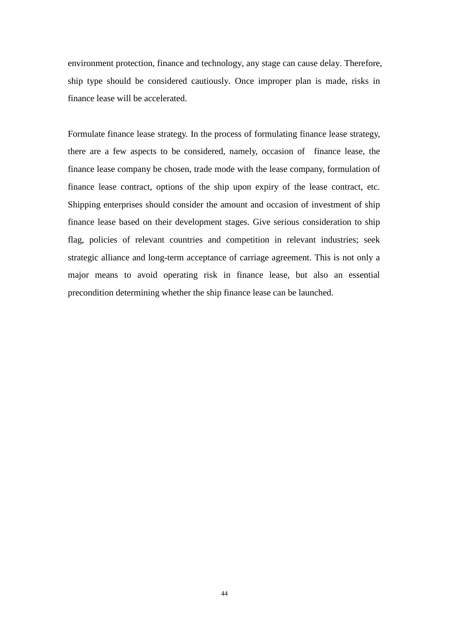environment protection, finance and technology, any stage can cause delay. Therefore, ship type should be considered cautiously. Once improper plan is made, risks in finance lease will be accelerated.

Formulate finance lease strategy. In the process of formulating finance lease strategy, there are a few aspects to be considered, namely, occasion of finance lease, the finance lease company be chosen, trade mode with the lease company, formulation of finance lease contract, options of the ship upon expiry of the lease contract, etc. Shipping enterprises should consider the amount and occasion of investment of ship finance lease based on their development stages. Give serious consideration to ship flag, policies of relevant countries and competition in relevant industries; seek strategic alliance and long-term acceptance of carriage agreement. This is not only a major means to avoid operating risk in finance lease, but also an essential precondition determining whether the ship finance lease can be launched.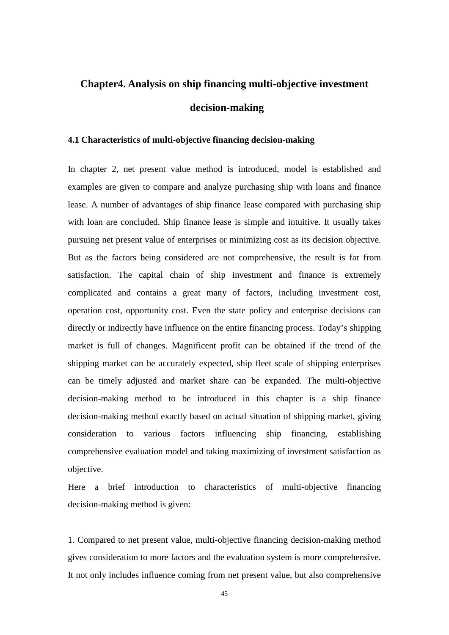# **Chapter4. Analysis on ship financing multi-objective investment decision-making**

# **4.1 Characteristics of multi-objective financing decision-making**

In chapter 2, net present value method is introduced, model is established and examples are given to compare and analyze purchasing ship with loans and finance lease. A number of advantages of ship finance lease compared with purchasing ship with loan are concluded. Ship finance lease is simple and intuitive. It usually takes pursuing net present value of enterprises or minimizing cost as its decision objective. But as the factors being considered are not comprehensive, the result is far from satisfaction. The capital chain of ship investment and finance is extremely complicated and contains a great many of factors, including investment cost, operation cost, opportunity cost. Even the state policy and enterprise decisions can directly or indirectly have influence on the entire financing process. Today's shipping market is full of changes. Magnificent profit can be obtained if the trend of the shipping market can be accurately expected, ship fleet scale of shipping enterprises can be timely adjusted and market share can be expanded. The multi-objective decision-making method to be introduced in this chapter is a ship finance decision-making method exactly based on actual situation of shipping market, giving consideration to various factors influencing ship financing, establishing comprehensive evaluation model and taking maximizing of investment satisfaction as objective.

Here a brief introduction to characteristics of multi-objective financing decision-making method is given:

1. Compared to net present value, multi-objective financing decision-making method gives consideration to more factors and the evaluation system is more comprehensive. It not only includes influence coming from net present value, but also comprehensive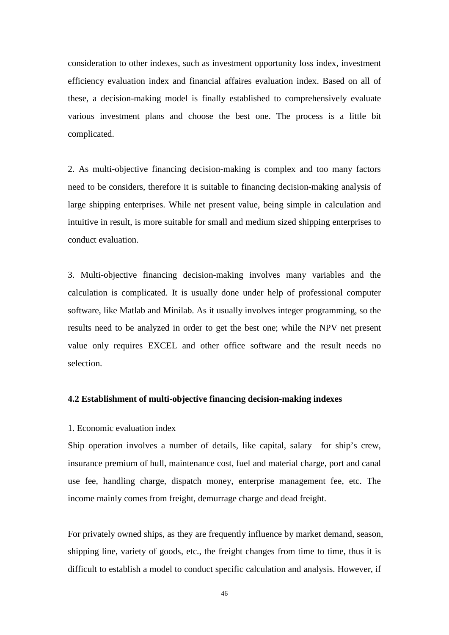consideration to other indexes, such as investment opportunity loss index, investment efficiency evaluation index and financial affaires evaluation index. Based on all of these, a decision-making model is finally established to comprehensively evaluate various investment plans and choose the best one. The process is a little bit complicated.

2. As multi-objective financing decision-making is complex and too many factors need to be considers, therefore it is suitable to financing decision-making analysis of large shipping enterprises. While net present value, being simple in calculation and intuitive in result, is more suitable for small and medium sized shipping enterprises to conduct evaluation.

3. Multi-objective financing decision-making involves many variables and the calculation is complicated. It is usually done under help of professional computer software, like Matlab and Minilab. As it usually involves integer programming, so the results need to be analyzed in order to get the best one; while the NPV net present value only requires EXCEL and other office software and the result needs no selection.

# **4.2 Establishment of multi-objective financing decision-making indexes**

# 1. Economic evaluation index

Ship operation involves a number of details, like capital, salary for ship's crew, insurance premium of hull, maintenance cost, fuel and material charge, port and canal use fee, handling charge, dispatch money, enterprise management fee, etc. The income mainly comes from freight, demurrage charge and dead freight.

For privately owned ships, as they are frequently influence by market demand, season, shipping line, variety of goods, etc., the freight changes from time to time, thus it is difficult to establish a model to conduct specific calculation and analysis. However, if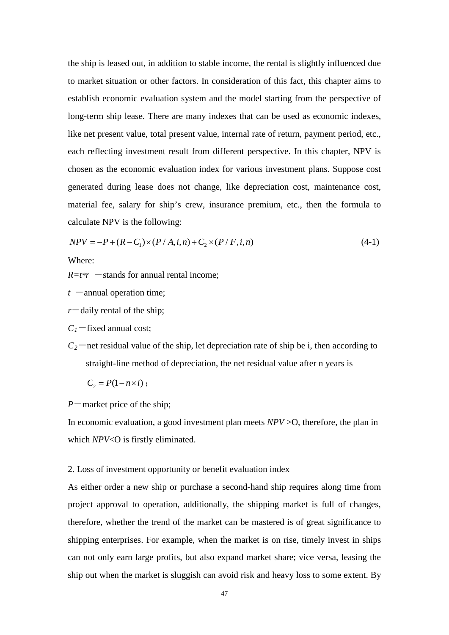the ship is leased out, in addition to stable income, the rental is slightly influenced due to market situation or other factors. In consideration of this fact, this chapter aims to establish economic evaluation system and the model starting from the perspective of long-term ship lease. There are many indexes that can be used as economic indexes, like net present value, total present value, internal rate of return, payment period, etc., each reflecting investment result from different perspective. In this chapter, NPV is chosen as the economic evaluation index for various investment plans. Suppose cost generated during lease does not change, like depreciation cost, maintenance cost, material fee, salary for ship's crew, insurance premium, etc., then the formula to calculate NPV is the following:

$$
NPV = -P + (R - C_1) \times (P / A, i, n) + C_2 \times (P / F, i, n)
$$
\n(4-1)

Where:

 $R=t*r$  —stands for annual rental income;

- $t$  -annual operation time;
- $r$ <sup>-daily rental of the ship;</sup>
- $C_1$ -fixed annual cost;
- $C_2$ —net residual value of the ship, let depreciation rate of ship be i, then according to straight-line method of depreciation, the net residual value after n years is

$$
C_2 = P(1 - n \times i);
$$

*P*-market price of the ship;

In economic evaluation, a good investment plan meets *NPV* >O, therefore, the plan in which *NPV*<O is firstly eliminated.

#### 2. Loss of investment opportunity or benefit evaluation index

As either order a new ship or purchase a second-hand ship requires along time from project approval to operation, additionally, the shipping market is full of changes, therefore, whether the trend of the market can be mastered is of great significance to shipping enterprises. For example, when the market is on rise, timely invest in ships can not only earn large profits, but also expand market share; vice versa, leasing the ship out when the market is sluggish can avoid risk and heavy loss to some extent. By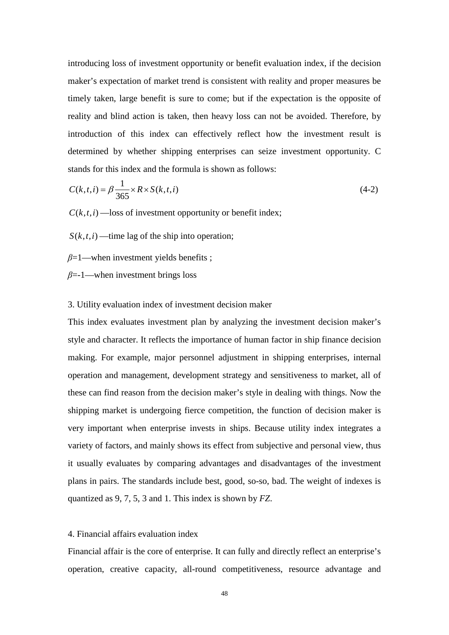introducing loss of investment opportunity or benefit evaluation index, if the decision maker's expectation of market trend is consistent with reality and proper measures be timely taken, large benefit is sure to come; but if the expectation is the opposite of reality and blind action is taken, then heavy loss can not be avoided. Therefore, by introduction of this index can effectively reflect how the investment result is determined by whether shipping enterprises can seize investment opportunity. C stands for this index and the formula is shown as follows:

$$
C(k,t,i) = \beta \frac{1}{365} \times R \times S(k,t,i)
$$
\n
$$
(4-2)
$$

 $C(k,t,i)$  —loss of investment opportunity or benefit index;

 $S(k,t,i)$  —time lag of the ship into operation;

*β*=1—when investment yields benefits ;

*β*=-1—when investment brings loss

#### 3. Utility evaluation index of investment decision maker

This index evaluates investment plan by analyzing the investment decision maker's style and character. It reflects the importance of human factor in ship finance decision making. For example, major personnel adjustment in shipping enterprises, internal operation and management, development strategy and sensitiveness to market, all of these can find reason from the decision maker's style in dealing with things. Now the shipping market is undergoing fierce competition, the function of decision maker is very important when enterprise invests in ships. Because utility index integrates a variety of factors, and mainly shows its effect from subjective and personal view, thus it usually evaluates by comparing advantages and disadvantages of the investment plans in pairs. The standards include best, good, so-so, bad. The weight of indexes is quantized as 9, 7, 5, 3 and 1. This index is shown by *FZ*.

#### 4. Financial affairs evaluation index

Financial affair is the core of enterprise. It can fully and directly reflect an enterprise's operation, creative capacity, all-round competitiveness, resource advantage and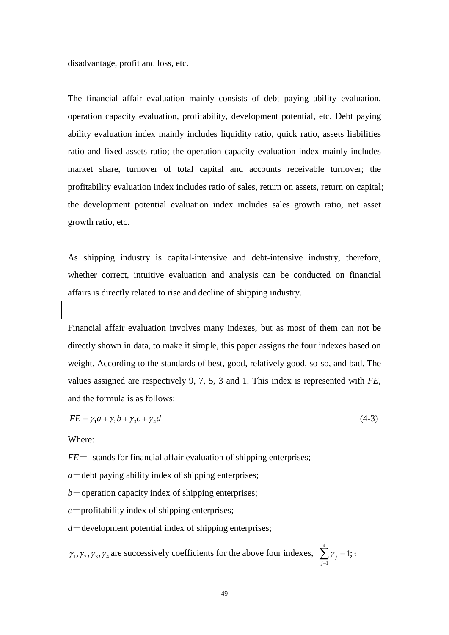disadvantage, profit and loss, etc.

The financial affair evaluation mainly consists of debt paying ability evaluation, operation capacity evaluation, profitability, development potential, etc. Debt paying ability evaluation index mainly includes liquidity ratio, quick ratio, assets liabilities ratio and fixed assets ratio; the operation capacity evaluation index mainly includes market share, turnover of total capital and accounts receivable turnover; the profitability evaluation index includes ratio of sales, return on assets, return on capital; the development potential evaluation index includes sales growth ratio, net asset growth ratio, etc.

As shipping industry is capital-intensive and debt-intensive industry, therefore, whether correct, intuitive evaluation and analysis can be conducted on financial affairs is directly related to rise and decline of shipping industry.

Financial affair evaluation involves many indexes, but as most of them can not be directly shown in data, to make it simple, this paper assigns the four indexes based on weight. According to the standards of best, good, relatively good, so-so, and bad. The values assigned are respectively 9, 7, 5, 3 and 1. This index is represented with *FE*, and the formula is as follows:

$$
FE = \gamma_1 a + \gamma_2 b + \gamma_3 c + \gamma_4 d \tag{4-3}
$$

Where:

 $FE-$  stands for financial affair evaluation of shipping enterprises;

 $a$ <sup>-debt</sup> paying ability index of shipping enterprises;

 $b$ -operation capacity index of shipping enterprises;

 $c$  -profitability index of shipping enterprises;

 $d$ -development potential index of shipping enterprises;

$$
\gamma_1, \gamma_2, \gamma_3, \gamma_4
$$
 are successively coefficients for the above four indexes,  $\sum_{j=1}^{4} \gamma_j = 1$ ;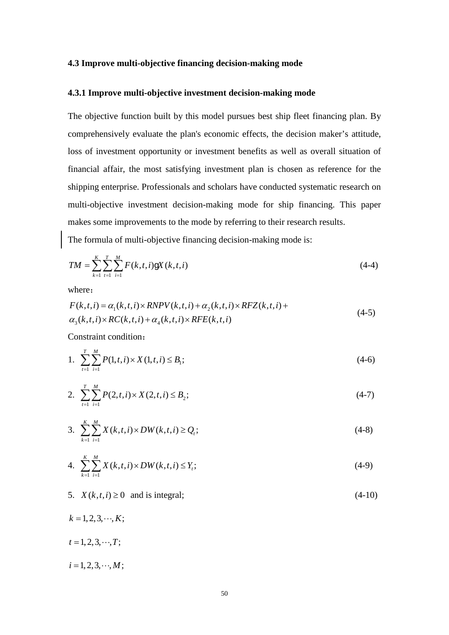#### **4.3 Improve multi-objective financing decision-making mode**

#### **4.3.1 Improve multi-objective investment decision-making mode**

The objective function built by this model pursues best ship fleet financing plan. By comprehensively evaluate the plan's economic effects, the decision maker's attitude, loss of investment opportunity or investment benefits as well as overall situation of financial affair, the most satisfying investment plan is chosen as reference for the shipping enterprise. Professionals and scholars have conducted systematic research on multi-objective investment decision-making mode for ship financing. This paper makes some improvements to the mode by referring to their research results.

The formula of multi-objective financing decision-making mode is:

$$
TM = \sum_{k=1}^{K} \sum_{t=1}^{T} \sum_{i=1}^{M} F(k, t, i) \mathbf{g} X(k, t, i)
$$
\n(4-4)

where:

$$
F(k,t,i) = \alpha_1(k,t,i) \times RNPV(k,t,i) + \alpha_2(k,t,i) \times RFZ(k,t,i) +
$$
  
\n
$$
\alpha_3(k,t,i) \times RC(k,t,i) + \alpha_4(k,t,i) \times RFE(k,t,i)
$$
\n(4-5)

Constraint condition:

1. 
$$
\sum_{t=1}^{T} \sum_{i=1}^{M} P(1, t, i) \times X(1, t, i) \leq B_1;
$$
 (4-6)

2. 
$$
\sum_{t=1}^{T} \sum_{i=1}^{M} P(2,t,i) \times X(2,t,i) \leq B_2;
$$
 (4-7)

3. 
$$
\sum_{k=1}^{K} \sum_{i=1}^{M} X(k,t,i) \times DW(k,t,i) \ge Q_i;
$$
 (4-8)

4. 
$$
\sum_{k=1}^{K} \sum_{i=1}^{M} X(k, t, i) \times DW(k, t, i) \le Y_{t};
$$
 (4-9)

5.  $X(k, t, i) \ge 0$  and is integral; (4-10)

 $k = 1, 2, 3, \dots, K$ ;

 $t = 1, 2, 3, \cdots, T;$ 

$$
i=1,2,3,\cdot\cdot\cdot,M;
$$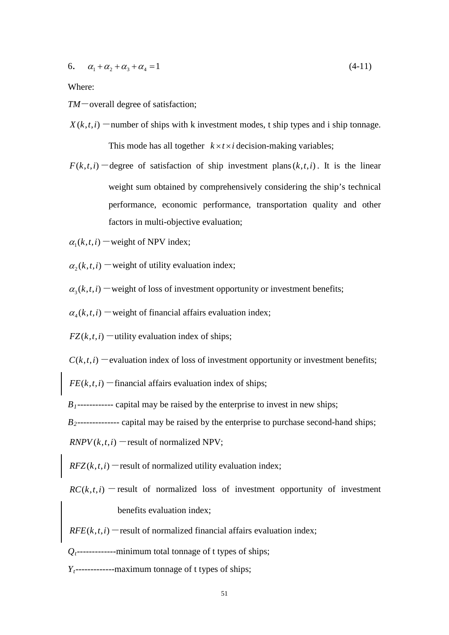6. 
$$
\alpha_1 + \alpha_2 + \alpha_3 + \alpha_4 = 1
$$
 (4-11)

Where:

*TM*-overall degree of satisfaction;

- $X(k,t,i)$  -number of ships with k investment modes, t ship types and i ship tonnage. This mode has all together  $k \times t \times i$  decision-making variables;
- $F(k,t,i)$  -degree of satisfaction of ship investment plans( $k,t,i$ ). It is the linear weight sum obtained by comprehensively considering the ship's technical performance, economic performance, transportation quality and other factors in multi-objective evaluation;

 $\alpha_i(k,t,i)$  – weight of NPV index;

 $\alpha_{2}(k,t,i)$  -weight of utility evaluation index;

 $\alpha_{3}(k,t,i)$  – weight of loss of investment opportunity or investment benefits;

 $\alpha_{\mu}(k,t,i)$  -weight of financial affairs evaluation index;

 $FZ(k,t,i)$  – utility evaluation index of ships;

 $C(k,t,i)$  -evaluation index of loss of investment opportunity or investment benefits;

 $FE(k, t, i)$  -financial affairs evaluation index of ships;

 $B_1$ ------------- capital may be raised by the enterprise to invest in new ships;

*B*<sub>2</sub>-------------- capital may be raised by the enterprise to purchase second-hand ships;

 $RNPV(k, t, i)$  -result of normalized NPV;

 $RFZ(k, t, i)$  – result of normalized utility evaluation index;

 $RC(k, t, i)$  -result of normalized loss of investment opportunity of investment benefits evaluation index;

 $RFE(k, t, i)$  -result of normalized financial affairs evaluation index;

*Qt*-------------minimum total tonnage of t types of ships;

*Yt*-------------maximum tonnage of t types of ships;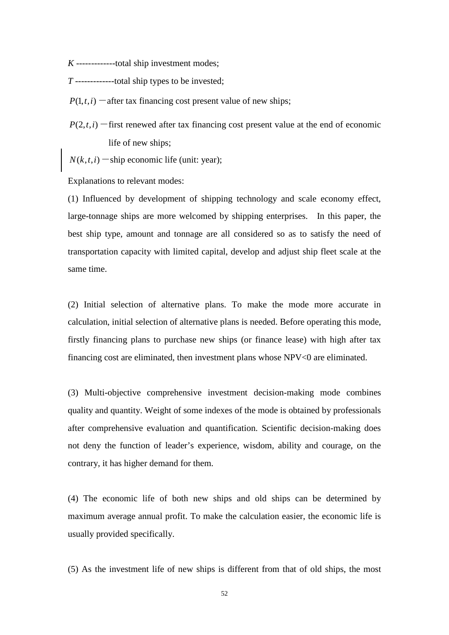*K* -------------total ship investment modes;

*T* -------------total ship types to be invested;

 $P(1, t, i)$  -after tax financing cost present value of new ships;

 $P(2,t,i)$  -first renewed after tax financing cost present value at the end of economic life of new ships;

 $N(k,t,i)$  -ship economic life (unit: year);

Explanations to relevant modes:

(1) Influenced by development of shipping technology and scale economy effect, large-tonnage ships are more welcomed by shipping enterprises. In this paper, the best ship type, amount and tonnage are all considered so as to satisfy the need of transportation capacity with limited capital, develop and adjust ship fleet scale at the same time.

(2) Initial selection of alternative plans. To make the mode more accurate in calculation, initial selection of alternative plans is needed. Before operating this mode, firstly financing plans to purchase new ships (or finance lease) with high after tax financing cost are eliminated, then investment plans whose NPV<0 are eliminated.

(3) Multi-objective comprehensive investment decision-making mode combines quality and quantity. Weight of some indexes of the mode is obtained by professionals after comprehensive evaluation and quantification. Scientific decision-making does not deny the function of leader's experience, wisdom, ability and courage, on the contrary, it has higher demand for them.

(4) The economic life of both new ships and old ships can be determined by maximum average annual profit. To make the calculation easier, the economic life is usually provided specifically.

(5) As the investment life of new ships is different from that of old ships, the most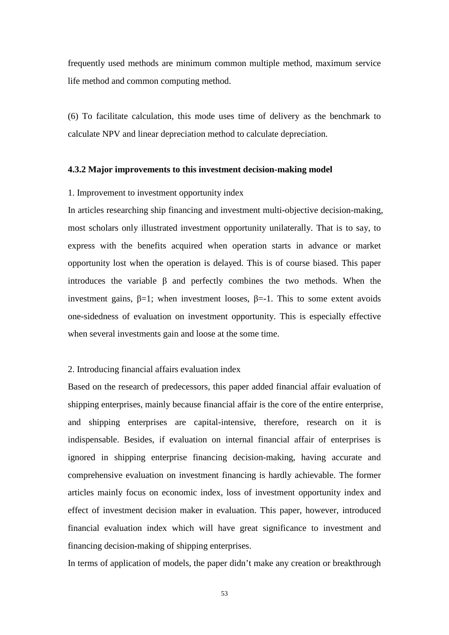frequently used methods are minimum common multiple method, maximum service life method and common computing method.

(6) To facilitate calculation, this mode uses time of delivery as the benchmark to calculate NPV and linear depreciation method to calculate depreciation.

# **4.3.2 Major improvements to this investment decision-making model**

# 1. Improvement to investment opportunity index

In articles researching ship financing and investment multi-objective decision-making, most scholars only illustrated investment opportunity unilaterally. That is to say, to express with the benefits acquired when operation starts in advance or market opportunity lost when the operation is delayed. This is of course biased. This paper introduces the variable β and perfectly combines the two methods. When the investment gains,  $\beta=1$ ; when investment looses,  $\beta=-1$ . This to some extent avoids one-sidedness of evaluation on investment opportunity. This is especially effective when several investments gain and loose at the some time.

# 2. Introducing financial affairs evaluation index

Based on the research of predecessors, this paper added financial affair evaluation of shipping enterprises, mainly because financial affair is the core of the entire enterprise, and shipping enterprises are capital-intensive, therefore, research on it is indispensable. Besides, if evaluation on internal financial affair of enterprises is ignored in shipping enterprise financing decision-making, having accurate and comprehensive evaluation on investment financing is hardly achievable. The former articles mainly focus on economic index, loss of investment opportunity index and effect of investment decision maker in evaluation. This paper, however, introduced financial evaluation index which will have great significance to investment and financing decision-making of shipping enterprises.

In terms of application of models, the paper didn't make any creation or breakthrough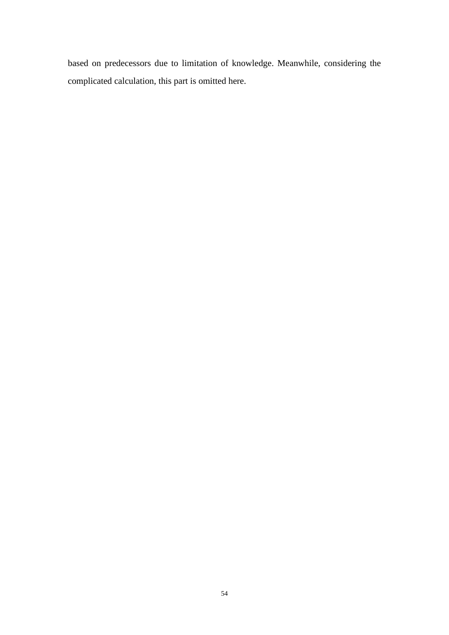based on predecessors due to limitation of knowledge. Meanwhile, considering the complicated calculation, this part is omitted here.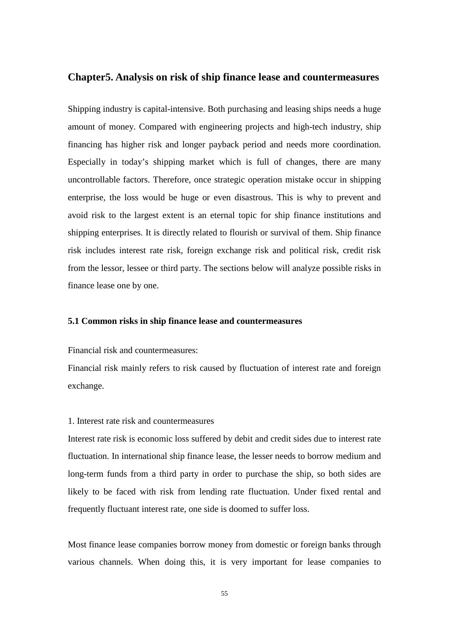# **Chapter5. Analysis on risk of ship finance lease and countermeasures**

Shipping industry is capital-intensive. Both purchasing and leasing ships needs a huge amount of money. Compared with engineering projects and high-tech industry, ship financing has higher risk and longer payback period and needs more coordination. Especially in today's shipping market which is full of changes, there are many uncontrollable factors. Therefore, once strategic operation mistake occur in shipping enterprise, the loss would be huge or even disastrous. This is why to prevent and avoid risk to the largest extent is an eternal topic for ship finance institutions and shipping enterprises. It is directly related to flourish or survival of them. Ship finance risk includes interest rate risk, foreign exchange risk and political risk, credit risk from the lessor, lessee or third party. The sections below will analyze possible risks in finance lease one by one.

# **5.1 Common risks in ship finance lease and countermeasures**

Financial risk and countermeasures:

Financial risk mainly refers to risk caused by fluctuation of interest rate and foreign exchange.

#### 1. Interest rate risk and countermeasures

Interest rate risk is economic loss suffered by debit and credit sides due to interest rate fluctuation. In international ship finance lease, the lesser needs to borrow medium and long-term funds from a third party in order to purchase the ship, so both sides are likely to be faced with risk from lending rate fluctuation. Under fixed rental and frequently fluctuant interest rate, one side is doomed to suffer loss.

Most finance lease companies borrow money from domestic or foreign banks through various channels. When doing this, it is very important for lease companies to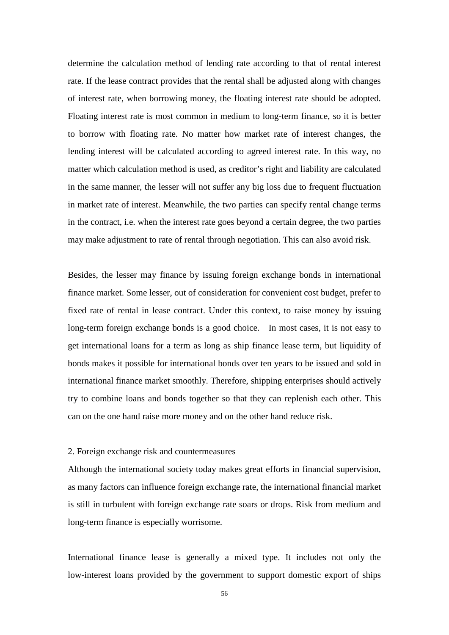determine the calculation method of lending rate according to that of rental interest rate. If the lease contract provides that the rental shall be adjusted along with changes of interest rate, when borrowing money, the floating interest rate should be adopted. Floating interest rate is most common in medium to long-term finance, so it is better to borrow with floating rate. No matter how market rate of interest changes, the lending interest will be calculated according to agreed interest rate. In this way, no matter which calculation method is used, as creditor's right and liability are calculated in the same manner, the lesser will not suffer any big loss due to frequent fluctuation in market rate of interest. Meanwhile, the two parties can specify rental change terms in the contract, i.e. when the interest rate goes beyond a certain degree, the two parties may make adjustment to rate of rental through negotiation. This can also avoid risk.

Besides, the lesser may finance by issuing foreign exchange bonds in international finance market. Some lesser, out of consideration for convenient cost budget, prefer to fixed rate of rental in lease contract. Under this context, to raise money by issuing long-term foreign exchange bonds is a good choice. In most cases, it is not easy to get international loans for a term as long as ship finance lease term, but liquidity of bonds makes it possible for international bonds over ten years to be issued and sold in international finance market smoothly. Therefore, shipping enterprises should actively try to combine loans and bonds together so that they can replenish each other. This can on the one hand raise more money and on the other hand reduce risk.

#### 2. Foreign exchange risk and countermeasures

Although the international society today makes great efforts in financial supervision, as many factors can influence foreign exchange rate, the international financial market is still in turbulent with foreign exchange rate soars or drops. Risk from medium and long-term finance is especially worrisome.

International finance lease is generally a mixed type. It includes not only the low-interest loans provided by the government to support domestic export of ships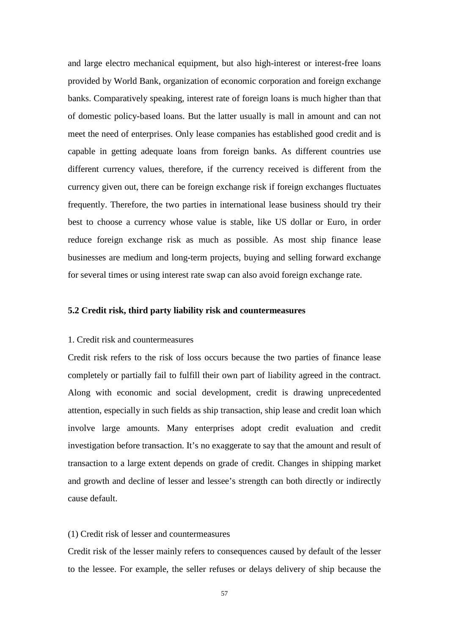and large electro mechanical equipment, but also high-interest or interest-free loans provided by World Bank, organization of economic corporation and foreign exchange banks. Comparatively speaking, interest rate of foreign loans is much higher than that of domestic policy-based loans. But the latter usually is mall in amount and can not meet the need of enterprises. Only lease companies has established good credit and is capable in getting adequate loans from foreign banks. As different countries use different currency values, therefore, if the currency received is different from the currency given out, there can be foreign exchange risk if foreign exchanges fluctuates frequently. Therefore, the two parties in international lease business should try their best to choose a currency whose value is stable, like US dollar or Euro, in order reduce foreign exchange risk as much as possible. As most ship finance lease businesses are medium and long-term projects, buying and selling forward exchange for several times or using interest rate swap can also avoid foreign exchange rate.

# **5.2 Credit risk, third party liability risk and countermeasures**

#### 1. Credit risk and countermeasures

Credit risk refers to the risk of loss occurs because the two parties of finance lease completely or partially fail to fulfill their own part of liability agreed in the contract. Along with economic and social development, credit is drawing unprecedented attention, especially in such fields as ship transaction, ship lease and credit loan which involve large amounts. Many enterprises adopt credit evaluation and credit investigation before transaction. It's no exaggerate to say that the amount and result of transaction to a large extent depends on grade of credit. Changes in shipping market and growth and decline of lesser and lessee's strength can both directly or indirectly cause default.

#### (1) Credit risk of lesser and countermeasures

Credit risk of the lesser mainly refers to consequences caused by default of the lesser to the lessee. For example, the seller refuses or delays delivery of ship because the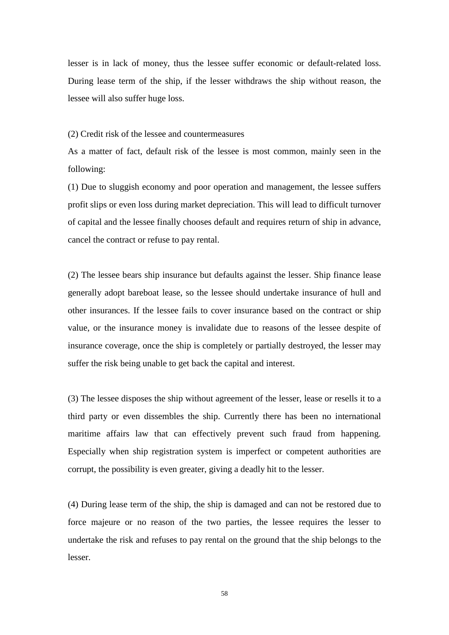lesser is in lack of money, thus the lessee suffer economic or default-related loss. During lease term of the ship, if the lesser withdraws the ship without reason, the lessee will also suffer huge loss.

(2) Credit risk of the lessee and countermeasures

As a matter of fact, default risk of the lessee is most common, mainly seen in the following:

(1) Due to sluggish economy and poor operation and management, the lessee suffers profit slips or even loss during market depreciation. This will lead to difficult turnover of capital and the lessee finally chooses default and requires return of ship in advance, cancel the contract or refuse to pay rental.

(2) The lessee bears ship insurance but defaults against the lesser. Ship finance lease generally adopt bareboat lease, so the lessee should undertake insurance of hull and other insurances. If the lessee fails to cover insurance based on the contract or ship value, or the insurance money is invalidate due to reasons of the lessee despite of insurance coverage, once the ship is completely or partially destroyed, the lesser may suffer the risk being unable to get back the capital and interest.

(3) The lessee disposes the ship without agreement of the lesser, lease or resells it to a third party or even dissembles the ship. Currently there has been no international maritime affairs law that can effectively prevent such fraud from happening. Especially when ship registration system is imperfect or competent authorities are corrupt, the possibility is even greater, giving a deadly hit to the lesser.

(4) During lease term of the ship, the ship is damaged and can not be restored due to force majeure or no reason of the two parties, the lessee requires the lesser to undertake the risk and refuses to pay rental on the ground that the ship belongs to the lesser.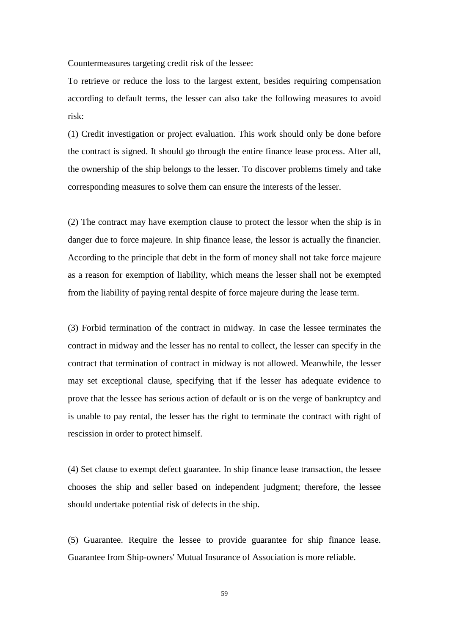Countermeasures targeting credit risk of the lessee:

To retrieve or reduce the loss to the largest extent, besides requiring compensation according to default terms, the lesser can also take the following measures to avoid risk:

(1) Credit investigation or project evaluation. This work should only be done before the contract is signed. It should go through the entire finance lease process. After all, the ownership of the ship belongs to the lesser. To discover problems timely and take corresponding measures to solve them can ensure the interests of the lesser.

(2) The contract may have exemption clause to protect the lessor when the ship is in danger due to force majeure. In ship finance lease, the lessor is actually the financier. According to the principle that debt in the form of money shall not take force majeure as a reason for exemption of liability, which means the lesser shall not be exempted from the liability of paying rental despite of force majeure during the lease term.

(3) Forbid termination of the contract in midway. In case the lessee terminates the contract in midway and the lesser has no rental to collect, the lesser can specify in the contract that termination of contract in midway is not allowed. Meanwhile, the lesser may set exceptional clause, specifying that if the lesser has adequate evidence to prove that the lessee has serious action of default or is on the verge of bankruptcy and is unable to pay rental, the lesser has the right to terminate the contract with right of rescission in order to protect himself.

(4) Set clause to exempt defect guarantee. In ship finance lease transaction, the lessee chooses the ship and seller based on independent judgment; therefore, the lessee should undertake potential risk of defects in the ship.

(5) Guarantee. Require the lessee to provide guarantee for ship finance lease. Guarantee from Ship-owners' Mutual Insurance of Association is more reliable.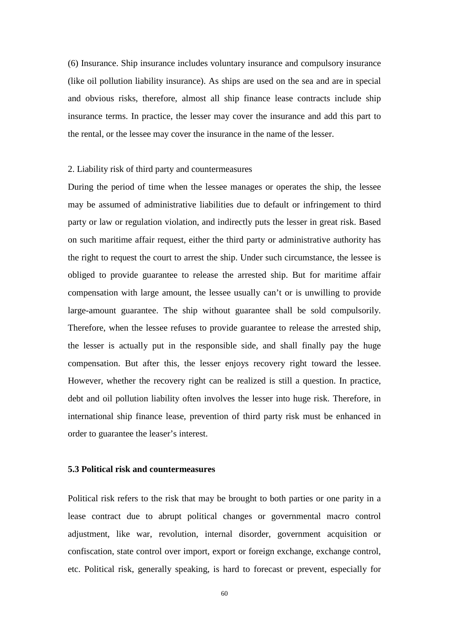(6) Insurance. Ship insurance includes voluntary insurance and compulsory insurance (like oil pollution liability insurance). As ships are used on the sea and are in special and obvious risks, therefore, almost all ship finance lease contracts include ship insurance terms. In practice, the lesser may cover the insurance and add this part to the rental, or the lessee may cover the insurance in the name of the lesser.

#### 2. Liability risk of third party and countermeasures

During the period of time when the lessee manages or operates the ship, the lessee may be assumed of administrative liabilities due to default or infringement to third party or law or regulation violation, and indirectly puts the lesser in great risk. Based on such maritime affair request, either the third party or administrative authority has the right to request the court to arrest the ship. Under such circumstance, the lessee is obliged to provide guarantee to release the arrested ship. But for maritime affair compensation with large amount, the lessee usually can't or is unwilling to provide large-amount guarantee. The ship without guarantee shall be sold compulsorily. Therefore, when the lessee refuses to provide guarantee to release the arrested ship, the lesser is actually put in the responsible side, and shall finally pay the huge compensation. But after this, the lesser enjoys recovery right toward the lessee. However, whether the recovery right can be realized is still a question. In practice, debt and oil pollution liability often involves the lesser into huge risk. Therefore, in international ship finance lease, prevention of third party risk must be enhanced in order to guarantee the leaser's interest.

# **5.3 Political risk and countermeasures**

Political risk refers to the risk that may be brought to both parties or one parity in a lease contract due to abrupt political changes or governmental macro control adjustment, like war, revolution, internal disorder, government acquisition or confiscation, state control over import, export or foreign exchange, exchange control, etc. Political risk, generally speaking, is hard to forecast or prevent, especially for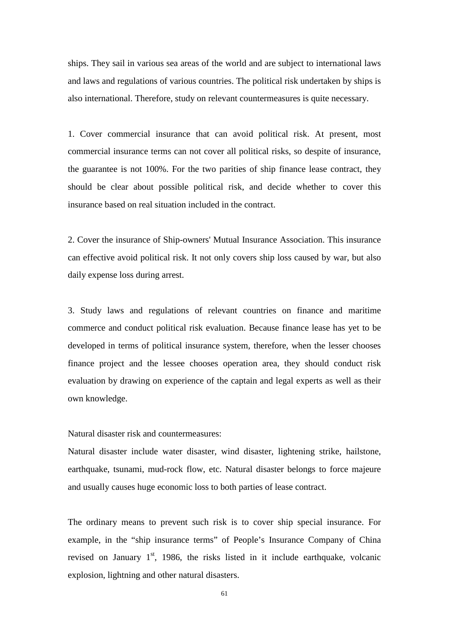ships. They sail in various sea areas of the world and are subject to international laws and laws and regulations of various countries. The political risk undertaken by ships is also international. Therefore, study on relevant countermeasures is quite necessary.

1. Cover commercial insurance that can avoid political risk. At present, most commercial insurance terms can not cover all political risks, so despite of insurance, the guarantee is not 100%. For the two parities of ship finance lease contract, they should be clear about possible political risk, and decide whether to cover this insurance based on real situation included in the contract.

2. Cover the insurance of Ship-owners' Mutual Insurance Association. This insurance can effective avoid political risk. It not only covers ship loss caused by war, but also daily expense loss during arrest.

3. Study laws and regulations of relevant countries on finance and maritime commerce and conduct political risk evaluation. Because finance lease has yet to be developed in terms of political insurance system, therefore, when the lesser chooses finance project and the lessee chooses operation area, they should conduct risk evaluation by drawing on experience of the captain and legal experts as well as their own knowledge.

Natural disaster risk and countermeasures:

Natural disaster include water disaster, wind disaster, lightening strike, hailstone, earthquake, tsunami, mud-rock flow, etc. Natural disaster belongs to force majeure and usually causes huge economic loss to both parties of lease contract.

The ordinary means to prevent such risk is to cover ship special insurance. For example, in the "ship insurance terms" of People's Insurance Company of China revised on January  $1<sup>st</sup>$ , 1986, the risks listed in it include earthquake, volcanic explosion, lightning and other natural disasters.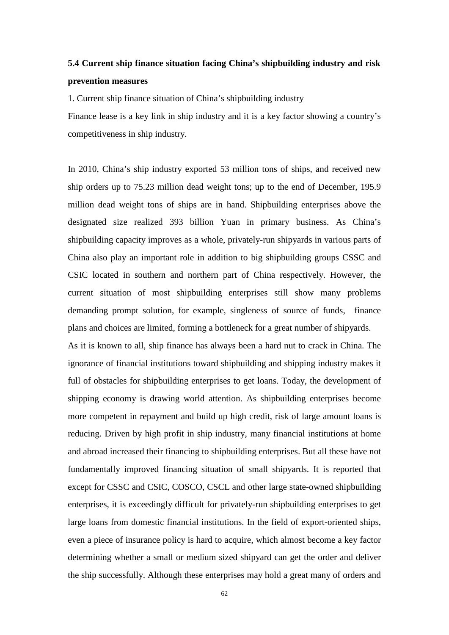# **5.4 Current ship finance situation facing China's shipbuilding industry and risk prevention measures**

1. Current ship finance situation of China's shipbuilding industry

Finance lease is a key link in ship industry and it is a key factor showing a country's competitiveness in ship industry.

In 2010, China's ship industry exported 53 million tons of ships, and received new ship orders up to 75.23 million dead weight tons; up to the end of December, 195.9 million dead weight tons of ships are in hand. Shipbuilding enterprises above the designated size realized 393 billion Yuan in primary business. As China's shipbuilding capacity improves as a whole, privately-run shipyards in various parts of China also play an important role in addition to big shipbuilding groups CSSC and CSIC located in southern and northern part of China respectively. However, the current situation of most shipbuilding enterprises still show many problems demanding prompt solution, for example, singleness of source of funds, finance plans and choices are limited, forming a bottleneck for a great number of shipyards.

As it is known to all, ship finance has always been a hard nut to crack in China. The ignorance of financial institutions toward shipbuilding and shipping industry makes it full of obstacles for shipbuilding enterprises to get loans. Today, the development of shipping economy is drawing world attention. As shipbuilding enterprises become more competent in repayment and build up high credit, risk of large amount loans is reducing. Driven by high profit in ship industry, many financial institutions at home and abroad increased their financing to shipbuilding enterprises. But all these have not fundamentally improved financing situation of small shipyards. It is reported that except for CSSC and CSIC, COSCO, CSCL and other large state-owned shipbuilding enterprises, it is exceedingly difficult for privately-run shipbuilding enterprises to get large loans from domestic financial institutions. In the field of export-oriented ships, even a piece of insurance policy is hard to acquire, which almost become a key factor determining whether a small or medium sized shipyard can get the order and deliver the ship successfully. Although these enterprises may hold a great many of orders and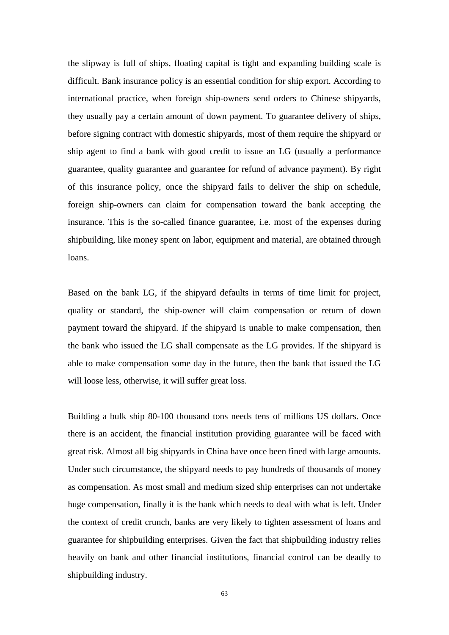the slipway is full of ships, floating capital is tight and expanding building scale is difficult. Bank insurance policy is an essential condition for ship export. According to international practice, when foreign ship-owners send orders to Chinese shipyards, they usually pay a certain amount of down payment. To guarantee delivery of ships, before signing contract with domestic shipyards, most of them require the shipyard or ship agent to find a bank with good credit to issue an LG (usually a performance guarantee, quality guarantee and guarantee for refund of advance payment). By right of this insurance policy, once the shipyard fails to deliver the ship on schedule, foreign ship-owners can claim for compensation toward the bank accepting the insurance. This is the so-called finance guarantee, i.e. most of the expenses during shipbuilding, like money spent on labor, equipment and material, are obtained through loans.

Based on the bank LG, if the shipyard defaults in terms of time limit for project, quality or standard, the ship-owner will claim compensation or return of down payment toward the shipyard. If the shipyard is unable to make compensation, then the bank who issued the LG shall compensate as the LG provides. If the shipyard is able to make compensation some day in the future, then the bank that issued the LG will loose less, otherwise, it will suffer great loss.

Building a bulk ship 80-100 thousand tons needs tens of millions US dollars. Once there is an accident, the financial institution providing guarantee will be faced with great risk. Almost all big shipyards in China have once been fined with large amounts. Under such circumstance, the shipyard needs to pay hundreds of thousands of money as compensation. As most small and medium sized ship enterprises can not undertake huge compensation, finally it is the bank which needs to deal with what is left. Under the context of credit crunch, banks are very likely to tighten assessment of loans and guarantee for shipbuilding enterprises. Given the fact that shipbuilding industry relies heavily on bank and other financial institutions, financial control can be deadly to shipbuilding industry.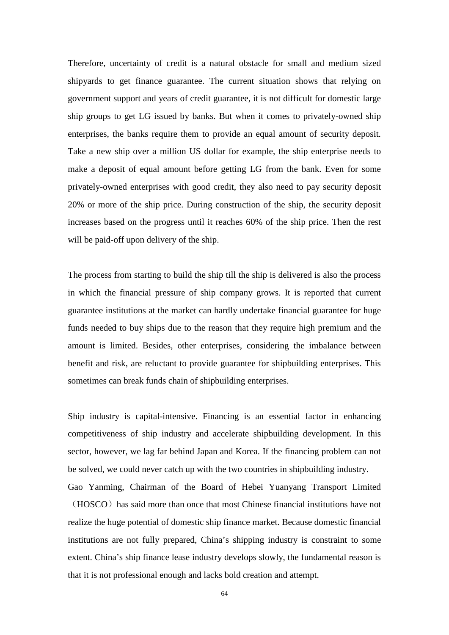Therefore, uncertainty of credit is a natural obstacle for small and medium sized shipyards to get finance guarantee. The current situation shows that relying on government support and years of credit guarantee, it is not difficult for domestic large ship groups to get LG issued by banks. But when it comes to privately-owned ship enterprises, the banks require them to provide an equal amount of security deposit. Take a new ship over a million US dollar for example, the ship enterprise needs to make a deposit of equal amount before getting LG from the bank. Even for some privately-owned enterprises with good credit, they also need to pay security deposit 20% or more of the ship price. During construction of the ship, the security deposit increases based on the progress until it reaches 60% of the ship price. Then the rest will be paid-off upon delivery of the ship.

The process from starting to build the ship till the ship is delivered is also the process in which the financial pressure of ship company grows. It is reported that current guarantee institutions at the market can hardly undertake financial guarantee for huge funds needed to buy ships due to the reason that they require high premium and the amount is limited. Besides, other enterprises, considering the imbalance between benefit and risk, are reluctant to provide guarantee for shipbuilding enterprises. This sometimes can break funds chain of shipbuilding enterprises.

Ship industry is capital-intensive. Financing is an essential factor in enhancing competitiveness of ship industry and accelerate shipbuilding development. In this sector, however, we lag far behind Japan and Korea. If the financing problem can not be solved, we could never catch up with the two countries in shipbuilding industry.

Gao Yanming, Chairman of the Board of Hebei Yuanyang Transport Limited (HOSCO) has said more than once that most Chinese financial institutions have not realize the huge potential of domestic ship finance market. Because domestic financial institutions are not fully prepared, China's shipping industry is constraint to some extent. China's ship finance lease industry develops slowly, the fundamental reason is that it is not professional enough and lacks bold creation and attempt.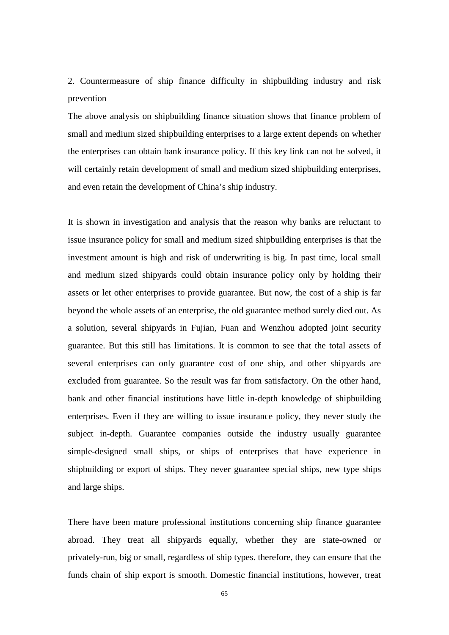2. Countermeasure of ship finance difficulty in shipbuilding industry and risk prevention

The above analysis on shipbuilding finance situation shows that finance problem of small and medium sized shipbuilding enterprises to a large extent depends on whether the enterprises can obtain bank insurance policy. If this key link can not be solved, it will certainly retain development of small and medium sized shipbuilding enterprises, and even retain the development of China's ship industry.

It is shown in investigation and analysis that the reason why banks are reluctant to issue insurance policy for small and medium sized shipbuilding enterprises is that the investment amount is high and risk of underwriting is big. In past time, local small and medium sized shipyards could obtain insurance policy only by holding their assets or let other enterprises to provide guarantee. But now, the cost of a ship is far beyond the whole assets of an enterprise, the old guarantee method surely died out. As a solution, several shipyards in Fujian, Fuan and Wenzhou adopted joint security guarantee. But this still has limitations. It is common to see that the total assets of several enterprises can only guarantee cost of one ship, and other shipyards are excluded from guarantee. So the result was far from satisfactory. On the other hand, bank and other financial institutions have little in-depth knowledge of shipbuilding enterprises. Even if they are willing to issue insurance policy, they never study the subject in-depth. Guarantee companies outside the industry usually guarantee simple-designed small ships, or ships of enterprises that have experience in shipbuilding or export of ships. They never guarantee special ships, new type ships and large ships.

There have been mature professional institutions concerning ship finance guarantee abroad. They treat all shipyards equally, whether they are state-owned or privately-run, big or small, regardless of ship types. therefore, they can ensure that the funds chain of ship export is smooth. Domestic financial institutions, however, treat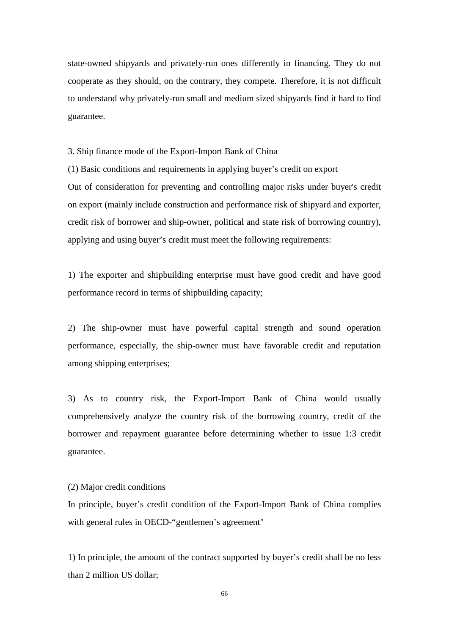state-owned shipyards and privately-run ones differently in financing. They do not cooperate as they should, on the contrary, they compete. Therefore, it is not difficult to understand why privately-run small and medium sized shipyards find it hard to find guarantee.

3. Ship finance mode of the Export-Import Bank of China

(1) Basic conditions and requirements in applying buyer's credit on export Out of consideration for preventing and controlling major risks under buyer's credit on export (mainly include construction and performance risk of shipyard and exporter, credit risk of borrower and ship-owner, political and state risk of borrowing country), applying and using buyer's credit must meet the following requirements:

1) The exporter and shipbuilding enterprise must have good credit and have good performance record in terms of shipbuilding capacity;

2) The ship-owner must have powerful capital strength and sound operation performance, especially, the ship-owner must have favorable credit and reputation among shipping enterprises;

3) As to country risk, the Export-Import Bank of China would usually comprehensively analyze the country risk of the borrowing country, credit of the borrower and repayment guarantee before determining whether to issue 1:3 credit guarantee.

(2) Major credit conditions

In principle, buyer's credit condition of the Export-Import Bank of China complies with general rules in OECD-"gentlemen's agreement"

1) In principle, the amount of the contract supported by buyer's credit shall be no less than 2 million US dollar;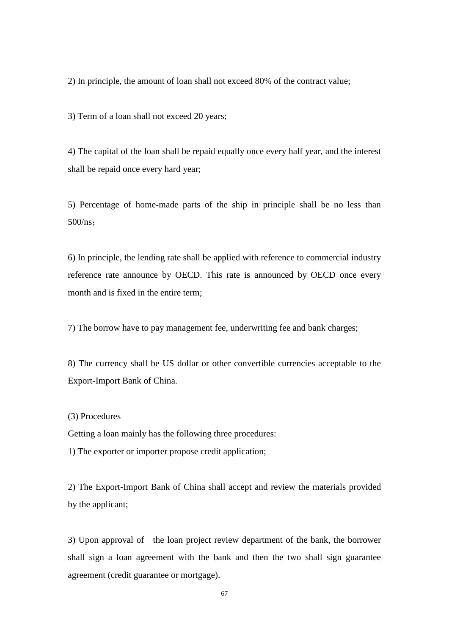2) In principle, the amount of loan shall not exceed 80% of the contract value;

3) Term of a loan shall not exceed 20 years;

4) The capital of the loan shall be repaid equally once every half year, and the interest shall be repaid once every hard year;

5) Percentage of home-made parts of the ship in principle shall be no less than 500/ns;

6) In principle, the lending rate shall be applied with reference to commercial industry reference rate announce by OECD. This rate is announced by OECD once every month and is fixed in the entire term;

7) The borrow have to pay management fee, underwriting fee and bank charges;

8) The currency shall be US dollar or other convertible currencies acceptable to the Export-Import Bank of China.

(3) Procedures

Getting a loan mainly has the following three procedures:

1) The exporter or importer propose credit application;

2) The Export-Import Bank of China shall accept and review the materials provided by the applicant;

3) Upon approval of the loan project review department of the bank, the borrower shall sign a loan agreement with the bank and then the two shall sign guarantee agreement (credit guarantee or mortgage).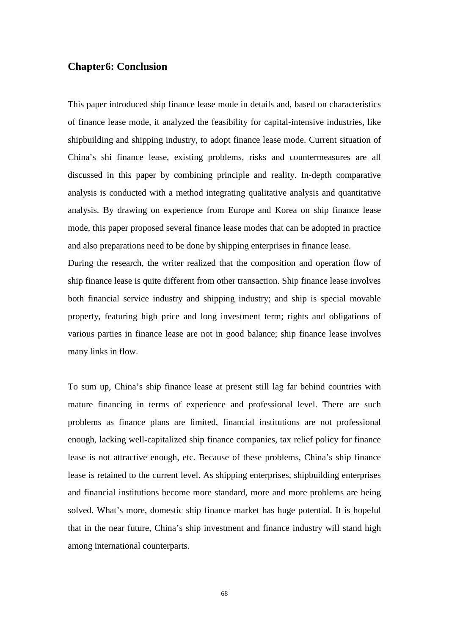## **Chapter6: Conclusion**

This paper introduced ship finance lease mode in details and, based on characteristics of finance lease mode, it analyzed the feasibility for capital-intensive industries, like shipbuilding and shipping industry, to adopt finance lease mode. Current situation of China's shi finance lease, existing problems, risks and countermeasures are all discussed in this paper by combining principle and reality. In-depth comparative analysis is conducted with a method integrating qualitative analysis and quantitative analysis. By drawing on experience from Europe and Korea on ship finance lease mode, this paper proposed several finance lease modes that can be adopted in practice and also preparations need to be done by shipping enterprises in finance lease.

During the research, the writer realized that the composition and operation flow of ship finance lease is quite different from other transaction. Ship finance lease involves both financial service industry and shipping industry; and ship is special movable property, featuring high price and long investment term; rights and obligations of various parties in finance lease are not in good balance; ship finance lease involves many links in flow.

To sum up, China's ship finance lease at present still lag far behind countries with mature financing in terms of experience and professional level. There are such problems as finance plans are limited, financial institutions are not professional enough, lacking well-capitalized ship finance companies, tax relief policy for finance lease is not attractive enough, etc. Because of these problems, China's ship finance lease is retained to the current level. As shipping enterprises, shipbuilding enterprises and financial institutions become more standard, more and more problems are being solved. What's more, domestic ship finance market has huge potential. It is hopeful that in the near future, China's ship investment and finance industry will stand high among international counterparts.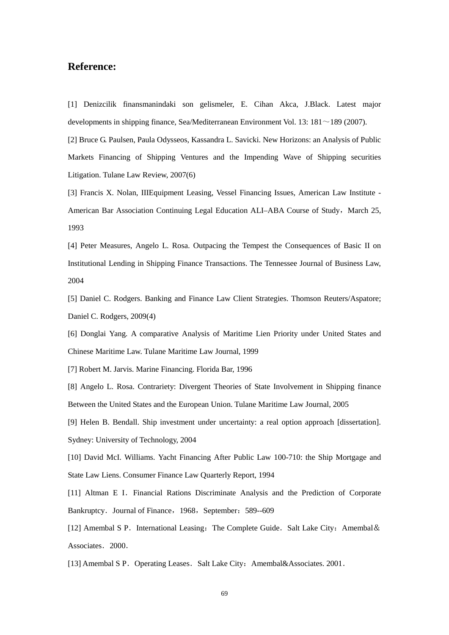## **Reference:**

[1] Denizcilik finansmanindaki son gelismeler, E. Cihan Akca, J.Black. Latest major developments in shipping finance, Sea/Mediterranean Environment Vol. 13:  $181 \sim 189$  (2007).

[2] Bruce G. Paulsen, Paula Odysseos, Kassandra L. Savicki. New Horizons: an Analysis of Public Markets Financing of Shipping Ventures and the Impending Wave of Shipping securities Litigation. Tulane Law Review, 2007(6)

[3] Francis X. Nolan, IIIEquipment Leasing, Vessel Financing Issues, American Law Institute - American Bar Association Continuing Legal Education ALI–ABA Course of Study, March 25, 1993

[4] Peter Measures, Angelo L. Rosa. Outpacing the Tempest the Consequences of Basic II on Institutional Lending in Shipping Finance Transactions. The Tennessee Journal of Business Law, 2004

[5] Daniel C. Rodgers. Banking and Finance Law Client Strategies. Thomson Reuters/Aspatore; Daniel C. Rodgers, 2009(4)

[6] Donglai Yang. A comparative Analysis of Maritime Lien Priority under United States and Chinese Maritime Law. Tulane Maritime Law Journal, 1999

[7] Robert M. Jarvis. Marine Financing. Florida Bar, 1996

[8] Angelo L. Rosa. Contrariety: Divergent Theories of State Involvement in Shipping finance Between the United States and the European Union. Tulane Maritime Law Journal, 2005

[9] Helen B. Bendall. Ship investment under uncertainty: a real option approach [dissertation]. Sydney: University of Technology, 2004

[10] David McI. Williams. Yacht Financing After Public Law 100-710: the Ship Mortgage and State Law Liens. Consumer Finance Law Quarterly Report, 1994

[11] Altman E I. Financial Rations Discriminate Analysis and the Prediction of Corporate Bankruptcy. Journal of Finance, 1968, September: 589--609

[12] Amembal S P. International Leasing: The Complete Guide. Salt Lake City: Amembal & Associates. 2000.

[13] Amembal S P. Operating Leases. Salt Lake City: Amembal&Associates. 2001.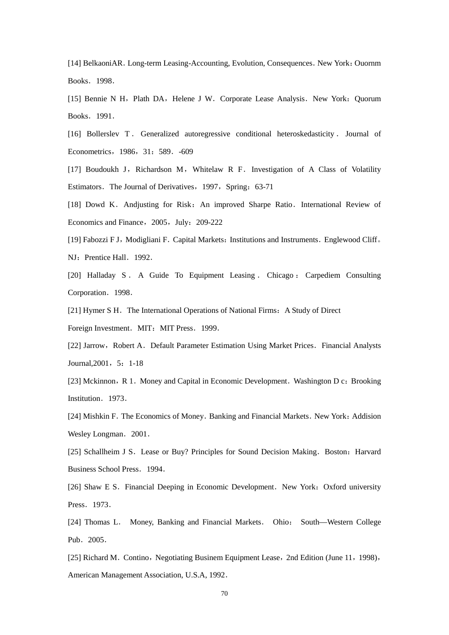[14] BelkaoniAR. Long-term Leasing-Accounting, Evolution, Consequences. New York: Ouornm Books.1998.

[15] Bennie N H, Plath DA, Helene J W. Corporate Lease Analysis. New York: Quorum Books.1991.

[16] Bollerslev T . Generalized autoregressive conditional heteroskedasticity . Journal of Econometrics,1986,31:589.-609

[17] Boudoukh J, Richardson M, Whitelaw R F. Investigation of A Class of Volatility Estimators. The Journal of Derivatives, 1997, Spring: 63-71

[18] Dowd K. Andjusting for Risk: An improved Sharpe Ratio. International Review of Economics and Finance, 2005, July: 209-222

[19] Fabozzi F J, Modigliani F. Capital Markets: Institutions and Instruments. Englewood Cliff. NJ: Prentice Hall. 1992.

[20] Halladay S . A Guide To Equipment Leasing . Chicago : Carpediem Consulting Corporation. 1998.

[21] Hymer S H. The International Operations of National Firms: A Study of Direct Foreign Investment. MIT: MIT Press. 1999.

[22] Jarrow, Robert A. Default Parameter Estimation Using Market Prices. Financial Analysts Journal, 2001, 5: 1-18

[23] Mckinnon, R 1. Money and Capital in Economic Development. Washington D c: Brooking Institution. 1973.

[24] Mishkin F. The Economics of Money. Banking and Financial Markets. New York: Addision Wesley Longman. 2001.

[25] Schallheim J S. Lease or Buy? Principles for Sound Decision Making. Boston: Harvard Business School Press.1994.

[26] Shaw E S. Financial Deeping in Economic Development. New York: Oxford university Press. 1973.

[24] Thomas L. Money, Banking and Financial Markets. Ohio: South—Western College Pub. 2005.

[25] Richard M. Contino, Negotiating Businem Equipment Lease, 2nd Edition (June 11, 1998), American Management Association, U.S.A, 1992.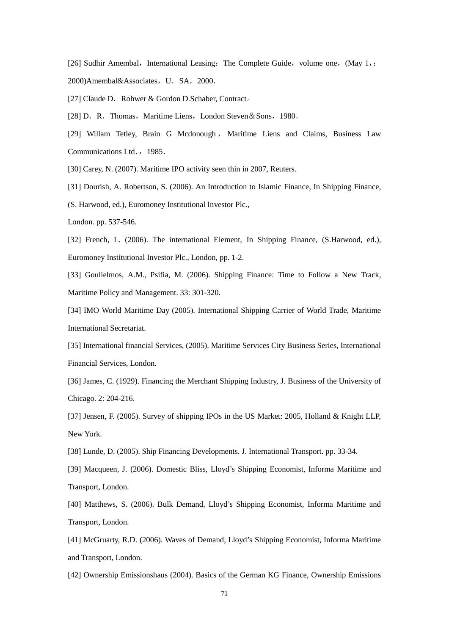[26] Sudhir Amembal, International Leasing: The Complete Guide, volume one,  $(May 1, z)$ 2000)Amembal&Associates, U. SA, 2000.

[27] Claude D. Rohwer & Gordon D.Schaber, Contract.

[28] D. R. Thomas, Maritime Liens, London Steven & Sons, 1980.

[29] Willam Tetley, Brain G Mcdonough , Maritime Liens and Claims, Business Law Communications Ltd., 1985.

[30] Carey, N. (2007). Maritime IPO activity seen thin in 2007, Reuters.

[31] Dourish, A. Robertson, S. (2006). An Introduction to Islamic Finance, In Shipping Finance,

(S. Harwood, ed.), Euromoney Institutional Investor Plc.,

London. pp. 537-546.

[32] French, L. (2006). The international Element, In Shipping Finance, (S.Harwood, ed.), Euromoney Institutional Investor Plc., London, pp. 1-2.

[33] Goulielmos, A.M., Psifia, M. (2006). Shipping Finance: Time to Follow a New Track, Maritime Policy and Management. 33: 301-320.

[34] IMO World Maritime Day (2005). International Shipping Carrier of World Trade, Maritime International Secretariat.

[35] International financial Services, (2005). Maritime Services City Business Series, International Financial Services, London.

[36] James, C. (1929). Financing the Merchant Shipping Industry, J. Business of the University of Chicago. 2: 204-216.

[37] Jensen, F. (2005). Survey of shipping IPOs in the US Market: 2005, Holland & Knight LLP, New York.

[38] Lunde, D. (2005). Ship Financing Developments. J. International Transport. pp. 33-34.

[39] Macqueen, J. (2006). Domestic Bliss, Lloyd's Shipping Economist, Informa Maritime and Transport, London.

[40] Matthews, S. (2006). Bulk Demand, Lloyd's Shipping Economist, Informa Maritime and Transport, London.

[41] McGruarty, R.D. (2006). Waves of Demand, Lloyd's Shipping Economist, Informa Maritime and Transport, London.

[42] Ownership Emissionshaus (2004). Basics of the German KG Finance, Ownership Emissions